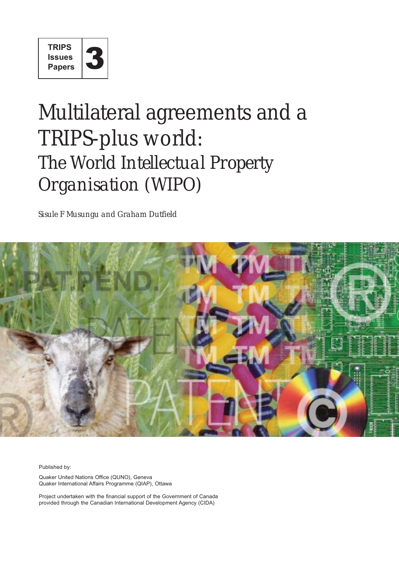

# Multilateral agreements and a TRIPS-plus world: *The World Intellectual Property Organisation (WIPO)*

*Sisule F Musungu and Graham Dutfield*



Published by:

Quaker United Nations Office (QUNO), Geneva Quaker International Affairs Programme (QIAP), Ottawa

Project undertaken with the financial support of the Government of Canada provided through the Canadian International Development Agency (CIDA)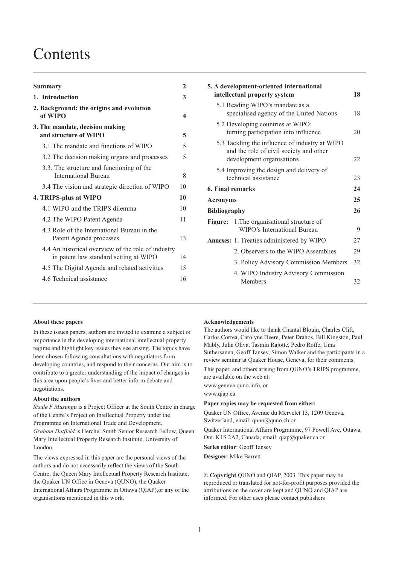## **Contents**

| <b>Summary</b>                                                                               | 2                       |
|----------------------------------------------------------------------------------------------|-------------------------|
| 1. Introduction                                                                              | 3                       |
| 2. Background: the origins and evolution<br>of WIPO                                          | $\overline{\mathbf{4}}$ |
| 3. The mandate, decision making<br>and structure of WIPO                                     | 5                       |
| 3.1 The mandate and functions of WIPO                                                        | 5                       |
| 3.2 The decision making organs and processes                                                 | 5                       |
| 3.3. The structure and functioning of the<br><b>International Bureau</b>                     | 8                       |
| 3.4 The vision and strategic direction of WIPO                                               | 10                      |
| 4. TRIPS-plus at WIPO                                                                        | 10                      |
| 4.1 WIPO and the TRIPS dilemma                                                               | 10                      |
| 4.2 The WIPO Patent Agenda                                                                   | 11                      |
| 4.3 Role of the International Bureau in the<br>Patent Agenda processes                       | 13                      |
| 4.4 An historical overview of the role of industry<br>in patent law standard setting at WIPO | 14                      |
| 4.5 The Digital Agenda and related activities                                                | 15                      |
| 4.6 Technical assistance                                                                     | 16                      |
|                                                                                              |                         |

|                     | 5. A development-oriented international<br>intellectual property system                                                | 18 |
|---------------------|------------------------------------------------------------------------------------------------------------------------|----|
|                     | 5.1 Reading WIPO's mandate as a<br>specialised agency of the United Nations                                            | 18 |
|                     | 5.2 Developing countries at WIPO:<br>turning participation into influence                                              | 20 |
|                     | 5.3 Tackling the influence of industry at WIPO<br>and the role of civil society and other<br>development organisations | 22 |
|                     | 5.4 Improving the design and delivery of<br>technical assistance                                                       | 23 |
| 6. Final remarks    |                                                                                                                        | 24 |
| <b>Acronyms</b>     |                                                                                                                        | 25 |
| <b>Bibliography</b> |                                                                                                                        | 26 |
| Figure:             | 1. The organisational structure of<br>WIPO's International Bureau                                                      | 9  |
|                     | <b>Annexes:</b> 1. Treaties administered by WIPO                                                                       | 27 |
|                     | 2. Observers to the WIPO Assemblies                                                                                    | 29 |
|                     | 3. Policy Advisory Commission Members                                                                                  | 32 |
|                     | 4. WIPO Industry Advisory Commission<br>Members                                                                        | 32 |

#### **About these papers**

In these issues papers, authors are invited to examine a subject of importance in the developing international intellectual property regime and highlight key issues they see arising. The topics have been chosen following consultations with negotiators from developing countries, and respond to their concerns. Our aim is to contribute to a greater understanding of the impact of changes in this area upon people's lives and better inform debate and negotiations.

#### **About the authors**

*Sisule F Musungu* is a Project Officer at the South Centre in charge of the Centre's Project on Intellectual Property under the Programme on International Trade and Development. *Graham Dutfield* is Herchel Smith Senior Research Fellow, Queen Mary Intellectual Property Research Institute, University of London.

The views expressed in this paper are the personal views of the authors and do not necessarily reflect the views of the South Centre, the Queen Mary Intellectual Property Research Institute, the Quaker UN Office in Geneva (QUNO), the Quaker International Affairs Programme in Ottawa (QIAP),or any of the organisations mentioned in this work.

#### **Acknowledgements**

The authors would like to thank Chantal Blouin, Charles Clift, Carlos Correa, Carolyne Deere, Peter Drahos, Bill Kingston, Paul Mably, Julia Oliva, Tasmin Rajotte, Pedro Roffe, Uma Suthersanen, Geoff Tansey, Simon Walker and the participants in a review seminar at Quaker House, Geneva, for their comments.

This paper, and others arising from QUNO's TRIPS programme, are available on the web at:

www.geneva.quno.info, or

www.qiap.ca

#### **Paper copies may be requested from either:**

Quaker UN Office, Avenue du Mervelet 13, 1209 Geneva, Switzerland, email: quno@quno.ch or

Quaker International Affairs Programme, 97 Powell Ave, Ottawa, Ont. K1S 2A2, Canada, email: qiap@quaker.ca or

**Series editor**: Geoff Tansey

**Designer**: Mike Barrett

**© Copyright** QUNO and QIAP, 2003. This paper may be reproduced or translated for not-for-profit purposes provided the attributions on the cover are kept and QUNO and QIAP are informed. For other uses please contact publishers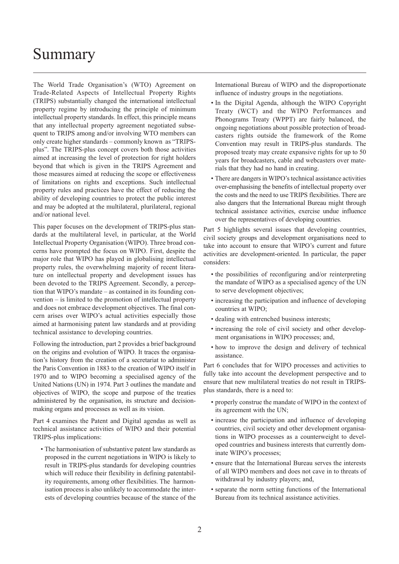## <span id="page-3-0"></span>Summary

The World Trade Organisation's (WTO) Agreement on Trade-Related Aspects of Intellectual Property Rights (TRIPS) substantially changed the international intellectual property regime by introducing the principle of minimum intellectual property standards. In effect, this principle means that any intellectual property agreement negotiated subsequent to TRIPS among and/or involving WTO members can only create higher standards – commonly known as "TRIPSplus". The TRIPS-plus concept covers both those activities aimed at increasing the level of protection for right holders beyond that which is given in the TRIPS Agreement and those measures aimed at reducing the scope or effectiveness of limitations on rights and exceptions. Such intellectual property rules and practices have the effect of reducing the ability of developing countries to protect the public interest and may be adopted at the multilateral, plurilateral, regional and/or national level.

This paper focuses on the development of TRIPS-plus standards at the multilateral level, in particular, at the World Intellectual Property Organisation (WIPO). Three broad concerns have prompted the focus on WIPO. First, despite the major role that WIPO has played in globalising intellectual property rules, the overwhelming majority of recent literature on intellectual property and development issues has been devoted to the TRIPS Agreement. Secondly, a perception that WIPO's mandate – as contained in its founding convention – is limited to the promotion of intellectual property and does not embrace development objectives. The final concern arises over WIPO's actual activities especially those aimed at harmonising patent law standards and at providing technical assistance to developing countries.

Following the introduction, part 2 provides a brief background on the origins and evolution of WIPO. It traces the organisation's history from the creation of a secretariat to administer the Paris Convention in 1883 to the creation of WIPO itself in 1970 and to WIPO becoming a specialised agency of the United Nations (UN) in 1974. Part 3 outlines the mandate and objectives of WIPO, the scope and purpose of the treaties administered by the organisation, its structure and decisionmaking organs and processes as well as its vision.

Part 4 examines the Patent and Digital agendas as well as technical assistance activities of WIPO and their potential TRIPS-plus implications:

• The harmonisation of substantive patent law standards as proposed in the current negotiations in WIPO is likely to result in TRIPS-plus standards for developing countries which will reduce their flexibility in defining patentability requirements, among other flexibilities. The harmonisation process is also unlikely to accommodate the interests of developing countries because of the stance of the International Bureau of WIPO and the disproportionate influence of industry groups in the negotiations.

- In the Digital Agenda, although the WIPO Copyright Treaty (WCT) and the WIPO Performances and Phonograms Treaty (WPPT) are fairly balanced, the ongoing negotiations about possible protection of broadcasters rights outside the framework of the Rome Convention may result in TRIPS-plus standards. The proposed treaty may create expansive rights for up to 50 years for broadcasters, cable and webcasters over materials that they had no hand in creating.
- There are dangers in WIPO's technical assistance activities over-emphasising the benefits of intellectual property over the costs and the need to use TRIPS flexibilities. There are also dangers that the International Bureau might through technical assistance activities, exercise undue influence over the representatives of developing countries.

Part 5 highlights several issues that developing countries, civil society groups and development organisations need to take into account to ensure that WIPO's current and future activities are development-oriented. In particular, the paper considers:

- the possibilities of reconfiguring and/or reinterpreting the mandate of WIPO as a specialised agency of the UN to serve development objectives;
- increasing the participation and influence of developing countries at WIPO;
- dealing with entrenched business interests;
- increasing the role of civil society and other development organisations in WIPO processes; and,
- how to improve the design and delivery of technical assistance.

Part 6 concludes that for WIPO processes and activities to fully take into account the development perspective and to ensure that new multilateral treaties do not result in TRIPSplus standards, there is a need to:

- properly construe the mandate of WIPO in the context of its agreement with the UN;
- increase the participation and influence of developing countries, civil society and other development organisations in WIPO processes as a counterweight to developed countries and business interests that currently dominate WIPO's processes;
- ensure that the International Bureau serves the interests of all WIPO members and does not cave in to threats of withdrawal by industry players; and,
- separate the norm setting functions of the International Bureau from its technical assistance activities.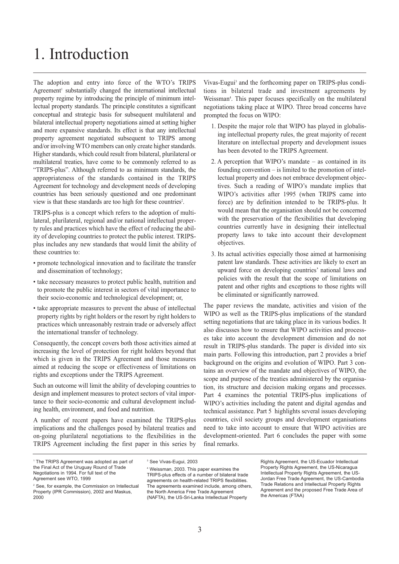## 1. Introduction

The adoption and entry into force of the WTO's TRIPS Agreement<sup>1</sup> substantially changed the international intellectual property regime by introducing the principle of minimum intellectual property standards. The principle constitutes a significant conceptual and strategic basis for subsequent multilateral and bilateral intellectual property negotiations aimed at setting higher and more expansive standards. Its effect is that any intellectual property agreement negotiated subsequent to TRIPS among and/or involving WTO members can only create higher standards. Higher standards, which could result from bilateral, plurilateral or multilateral treaties, have come to be commonly referred to as "TRIPS-plus". Although referred to as minimum standards, the appropriateness of the standards contained in the TRIPS Agreement for technology and development needs of developing countries has been seriously questioned and one predominant view is that these standards are too high for these countries<sup>2</sup>.

TRIPS-plus is a concept which refers to the adoption of multilateral, plurilateral, regional and/or national intellectual property rules and practices which have the effect of reducing the ability of developing countries to protect the public interest. TRIPSplus includes any new standards that would limit the ability of these countries to:

- promote technological innovation and to facilitate the transfer and dissemination of technology;
- take necessary measures to protect public health, nutrition and to promote the public interest in sectors of vital importance to their socio-economic and technological development; or,
- take appropriate measures to prevent the abuse of intellectual property rights by right holders or the resort by right holders to practices which unreasonably restrain trade or adversely affect the international transfer of technology.

Consequently, the concept covers both those activities aimed at increasing the level of protection for right holders beyond that which is given in the TRIPS Agreement and those measures aimed at reducing the scope or effectiveness of limitations on rights and exceptions under the TRIPS Agreement.

Such an outcome will limit the ability of developing countries to design and implement measures to protect sectors of vital importance to their socio-economic and cultural development including health, environment, and food and nutrition.

A number of recent papers have examined the TRIPS-plus implications and the challenges posed by bilateral treaties and on-going plurilateral negotiations to the flexibilities in the TRIPS Agreement including the first paper in this series by Vivas-Eugui<sup>3</sup> and the forthcoming paper on TRIPS-plus conditions in bilateral trade and investment agreements by Weissman<sup>4</sup>. This paper focuses specifically on the multilateral negotiations taking place at WIPO. Three broad concerns have prompted the focus on WIPO:

- 1. Despite the major role that WIPO has played in globalising intellectual property rules, the great majority of recent literature on intellectual property and development issues has been devoted to the TRIPS Agreement.
- 2. A perception that WIPO's mandate as contained in its founding convention – is limited to the promotion of intellectual property and does not embrace development objectives. Such a reading of WIPO's mandate implies that WIPO's activities after 1995 (when TRIPS came into force) are by definition intended to be TRIPS-plus. It would mean that the organisation should not be concerned with the preservation of the flexibilities that developing countries currently have in designing their intellectual property laws to take into account their development objectives.
- 3. Its actual activities especially those aimed at harmonising patent law standards. These activities are likely to exert an upward force on developing countries' national laws and policies with the result that the scope of limitations on patent and other rights and exceptions to those rights will be eliminated or significantly narrowed.

The paper reviews the mandate, activities and vision of the WIPO as well as the TRIPS-plus implications of the standard setting negotiations that are taking place in its various bodies. It also discusses how to ensure that WIPO activities and processes take into account the development dimension and do not result in TRIPS-plus standards. The paper is divided into six main parts. Following this introduction, part 2 provides a brief background on the origins and evolution of WIPO. Part 3 contains an overview of the mandate and objectives of WIPO, the scope and purpose of the treaties administered by the organisation, its structure and decision making organs and processes. Part 4 examines the potential TRIPS-plus implications of WIPO's activities including the patent and digital agendas and technical assistance. Part 5 highlights several issues developing countries, civil society groups and development organisations need to take into account to ensure that WIPO activities are development-oriented. Part 6 concludes the paper with some final remarks.

<sup>4</sup> Weissman, 2003. This paper examines the TRIPS-plus effects of a number of bilateral trade agreements on health-related TRIPS flexibilities. The agreements examined include, among others, the North America Free Trade Agreement (NAFTA), the US-Sri-Lanka Intellectual Property

<sup>1</sup> The TRIPS Agreement was adopted as part of the Final Act of the Uruguay Round of Trade Negotiations in 1994. For full text of the Agreement see WTO, 1999

<sup>2</sup> See, for example, the Commission on Intellectual Property (IPR Commission), 2002 and Maskus, 2000

<sup>&</sup>lt;sup>3</sup> See Vivas-Eugui, 2003

Rights Agreement, the US-Ecuador Intellectual Property Rights Agreement, the US-Nicaragua Intellectual Property Rights Agreement, the US-Jordan Free Trade Agreement, the US-Cambodia Trade Relations and Intellectual Property Rights Agreement and the proposed Free Trade Area of the Americas (FTAA)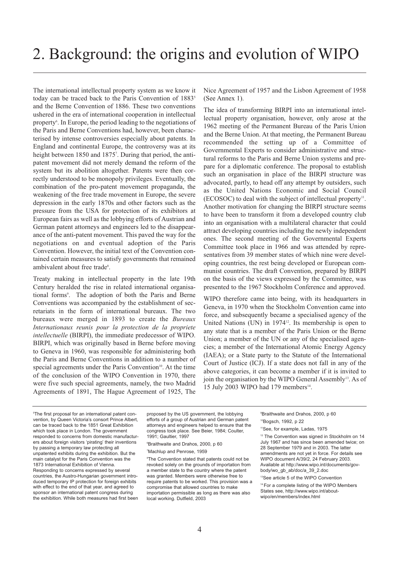The international intellectual property system as we know it today can be traced back to the Paris Convention of 1883<sup>5</sup> and the Berne Convention of 1886. These two conventions ushered in the era of international cooperation in intellectual property<sup>6</sup>. In Europe, the period leading to the negotiations of the Paris and Berne Conventions had, however, been characterised by intense controversies especially about patents. In England and continental Europe, the controversy was at its height between 1850 and 1875<sup>7</sup>. During that period, the antipatent movement did not merely demand the reform of the system but its abolition altogether. Patents were then correctly understood to be monopoly privileges. Eventually, the combination of the pro-patent movement propaganda, the weakening of the free trade movement in Europe, the severe depression in the early 1870s and other factors such as the pressure from the USA for protection of its exhibitors at European fairs as well as the lobbying efforts of Austrian and German patent attorneys and engineers led to the disappearance of the anti-patent movement. This paved the way for the negotiations on and eventual adoption of the Paris Convention. However, the initial text of the Convention contained certain measures to satisfy governments that remained ambivalent about free trade<sup>8</sup>.

Treaty making in intellectual property in the late 19th Century heralded the rise in related international organisational forms<sup>9</sup>. The adoption of both the Paris and Berne Conventions was accompanied by the establishment of secretariats in the form of international bureaux. The two bureaux were merged in 1893 to create the *Bureaux Internationaux reunis pour la protection de la propriete intellectuelle* (BIRPI), the immediate predecessor of WIPO. BIRPI, which was originally based in Berne before moving to Geneva in 1960, was responsible for administering both the Paris and Berne Conventions in addition to a number of special agreements under the Paris Convention<sup>10</sup>. At the time of the conclusion of the WIPO Convention in 1970, there were five such special agreements, namely, the two Madrid Agreements of 1891, The Hague Agreement of 1925, The

Nice Agreement of 1957 and the Lisbon Agreement of 1958 (See Annex 1).

The idea of transforming BIRPI into an international intellectual property organisation, however, only arose at the 1962 meeting of the Permanent Bureau of the Paris Union and the Berne Union. At that meeting, the Permanent Bureau recommended the setting up of a Committee of Governmental Experts to consider administrative and structural reforms to the Paris and Berne Union systems and prepare for a diplomatic conference. The proposal to establish such an organisation in place of the BIRPI structure was advocated, partly, to head off any attempt by outsiders, such as the United Nations Economic and Social Council  $(ECOSOC)$  to deal with the subject of intellectual property<sup>11</sup>. Another motivation for changing the BIRPI structure seems to have been to transform it from a developed country club into an organisation with a multilateral character that could attract developing countries including the newly independent ones. The second meeting of the Governmental Experts Committee took place in 1966 and was attended by representatives from 39 member states of which nine were developing countries, the rest being developed or European communist countries. The draft Convention, prepared by BIRPI on the basis of the views expressed by the Committee, was presented to the 1967 Stockholm Conference and approved.

WIPO therefore came into being, with its headquarters in Geneva, in 1970 when the Stockholm Convention came into force, and subsequently became a specialised agency of the United Nations (UN) in  $1974^{\text{12}}$ . Its membership is open to any state that is a member of the Paris Union or the Berne Union; a member of the UN or any of the specialised agencies; a member of the International Atomic Energy Agency (IAEA); or a State party to the Statute of the International Court of Justice (ICJ). If a state does not fall in any of the above categories, it can become a member if it is invited to join the organisation by the WIPO General Assembly<sup>13</sup>. As of 15 July 2003 WIPO had 179 members<sup>14</sup>.

5 The first proposal for an international patent convention, by Queen Victoria's consort Prince Albert, can be traced back to the 1851 Great Exhibition which took place in London. The government responded to concerns from domestic manufacturers about foreign visitors 'pirating' their inventions by passing a temporary law protecting all unpatented exhibits during the exhibition. But the main catalyst for the Paris Convention was the 1873 International Exhibition of Vienna. Responding to concerns expressed by several countries, the Austro-Hungarian government introduced temporary IP protection for foreign exhibits with effect to the end of that year, and agreed to sponsor an international patent congress during the exhibition. While both measures had first been proposed by the US government, the lobbying efforts of a group of Austrian and German patent attorneys and engineers helped to ensure that the congress took place. See Beier, 1984; Coulter, 1991; Gaultier, 1997

6 Braithwaite and Drahos, 2000, p 60

### 7 Machlup and Penrose, 1959

8 The Convention stated that patents could not be revoked solely on the grounds of importation from a member state to the country where the patent was granted. Members were otherwise free to require patents to be worked. This provision was a compromise that allowed countries to make importation permissible as long as there was also local working. Dutfield, 2003

9 Braithwaite and Drahos, 2000, p 60 <sup>10</sup>Bogsch, 1992, p 22

11See, for example, Ladas, 1975

<sup>12</sup> The Convention was signed in Stockholm on 14 July 1967 and has since been amended twice; on 28 September 1979 and in 2003. The latter amendments are not yet in force. For details see WIPO document A/39/2, 24 February 2003. [Available at http://www.wipo.int/documents/gov](http://www.wipo.int/documents/govbody/wo_gb_ab/doc/a_39_2.doc)body/wo\_gb\_ab/doc/a\_39\_2.doc

<sup>13</sup>See article 5 of the WIPO Convention

14 For a complete listing of the WIPO Members [States see, http://www.wipo.int/about](http://www.wipo.int/aboutwipo/en/members/index.html)wipo/en/members/index.html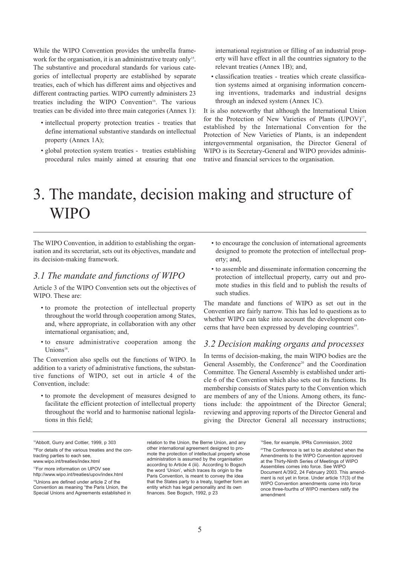<span id="page-6-0"></span>While the WIPO Convention provides the umbrella framework for the organisation, it is an administrative treaty only<sup>15</sup>. The substantive and procedural standards for various categories of intellectual property are established by separate treaties, each of which has different aims and objectives and different contracting parties. WIPO currently administers 23 treaties including the WIPO Convention<sup>16</sup>. The various treaties can be divided into three main categories (Annex 1):

- intellectual property protection treaties treaties that define international substantive standards on intellectual property (Annex 1A);
- global protection system treaties treaties establishing procedural rules mainly aimed at ensuring that one

international registration or filling of an industrial property will have effect in all the countries signatory to the relevant treaties (Annex 1B); and,

• classification treaties - treaties which create classification systems aimed at organising information concerning inventions, trademarks and industrial designs through an indexed system (Annex 1C).

It is also noteworthy that although the International Union for the Protection of New Varieties of Plants (UPOV)<sup>17</sup>, established by the International Convention for the Protection of New Varieties of Plants, is an independent intergovernmental organisation, the Director General of WIPO is its Secretary-General and WIPO provides administrative and financial services to the organisation.

## 3. The mandate, decision making and structure of **WIPO**

The WIPO Convention, in addition to establishing the organisation and its secretariat, sets out its objectives, mandate and its decision-making framework.

## *3.1 The mandate and functions of WIPO*

Article 3 of the WIPO Convention sets out the objectives of WIPO. These are:

- to promote the protection of intellectual property throughout the world through cooperation among States, and, where appropriate, in collaboration with any other international organisation; and,
- to ensure administrative cooperation among the Unions<sup>18</sup>.

The Convention also spells out the functions of WIPO. In addition to a variety of administrative functions, the substantive functions of WIPO, set out in article 4 of the Convention, include:

• to promote the development of measures designed to facilitate the efficient protection of intellectual property throughout the world and to harmonise national legislations in this field;

- to encourage the conclusion of international agreements designed to promote the protection of intellectual property; and,
- to assemble and disseminate information concerning the protection of intellectual property, carry out and promote studies in this field and to publish the results of such studies.

The mandate and functions of WIPO as set out in the Convention are fairly narrow. This has led to questions as to whether WIPO can take into account the development concerns that have been expressed by developing countries<sup>19</sup>.

### *3.2 Decision making organs and processes*

In terms of decision-making, the main WIPO bodies are the General Assembly, the Conference<sup>20</sup> and the Coordination Committee. The General Assembly is established under article 6 of the Convention which also sets out its functions. Its membership consists of States party to the Convention which are members of any of the Unions. Among others, its functions include: the appointment of the Director General; reviewing and approving reports of the Director General and giving the Director General all necessary instructions;

15Abbott, Gurry and Cottier, 1999, p 303 <sup>16</sup>For details of the various treaties and the contracting parties to each see, www.wipo.int/treaties/index.html

17For more information on UPOV see <http://www.wipo.int/treaties/upov/index.html>

18Unions are defined under article 2 of the Convention as meaning "the Paris Union, the Special Unions and Agreements established in

relation to the Union, the Berne Union, and any other international agreement designed to promote the protection of intellectual property whose administration is assumed by the organisation according to Article 4 (iii). According to Bogsch the word 'Union', which traces its origin to the Paris Convention, is meant to convey the idea that the States party to a treaty, together form an entity which has legal personality and its own finances. See Bogsch, 1992, p 23

<sup>19</sup>See, for example, IPRs Commission, 2002 <sup>20</sup>The Conference is set to be abolished when the Amendments to the WIPO Convention approved at the Thirty-Ninth Series of Meetings of WIPO Assemblies comes into force. See WIPO Document A/39/2, 24 February 2003. This amendment is not yet in force. Under article 17(3) of the WIPO Convention amendments come into force once three-fourths of WIPO members ratify the amendment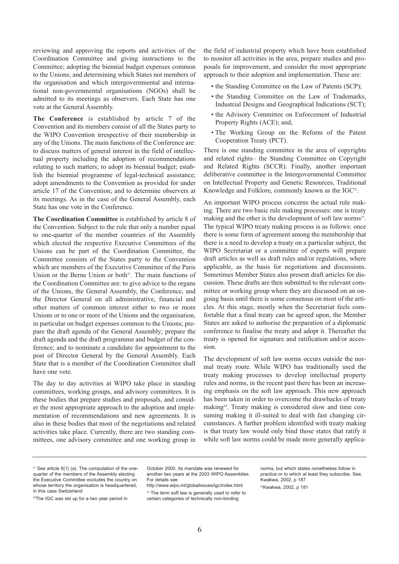reviewing and approving the reports and activities of the Coordination Committee and giving instructions to the Committee; adopting the biennial budget expenses common to the Unions; and determining which States not members of the organisation and which intergovernmental and international non-governmental organisations (NGOs) shall be admitted to its meetings as observers. Each State has one vote at the General Assembly.

**The Conference** is established by article 7 of the Convention and its members consist of all the States party to the WIPO Convention irrespective of their membership in any of the Unions. The main functions of the Conference are: to discuss matters of general interest in the field of intellectual property including the adoption of recommendations relating to such matters; to adopt its biennial budget; establish the biennial programme of legal-technical assistance; adopt amendments to the Convention as provided for under article 17 of the Convention; and to determine observers at its meetings. As in the case of the General Assembly, each State has one vote in the Conference.

**The Coordination Committee** is established by article 8 of the Convention. Subject to the rule that only a number equal to one-quarter of the member countries of the Assembly which elected the respective Executive Committees of the Unions can be part of the Coordination Committee, the Committee consists of the States party to the Convention which are members of the Executive Committee of the Paris Union or the Berne Union or both $2<sup>1</sup>$ . The main functions of the Coordination Committee are: to give advice to the organs of the Unions, the General Assembly, the Conference, and the Director General on all administrative, financial and other matters of common interest either to two or more Unions or to one or more of the Unions and the organisation, in particular on budget expenses common to the Unions; prepare the draft agenda of the General Assembly; prepare the draft agenda and the draft programme and budget of the conference; and to nominate a candidate for appointment to the post of Director General by the General Assembly. Each State that is a member of the Coordination Committee shall have one vote.

The day to day activities at WIPO take place in standing committees, working groups, and advisory committees. It is these bodies that prepare studies and proposals, and consider the most appropriate approach to the adoption and implementation of recommendations and new agreements. It is also in these bodies that most of the negotiations and related activities take place. Currently, there are two standing committees, one advisory committee and one working group in

the field of industrial property which have been established to monitor all activities in the area, prepare studies and proposals for improvement, and consider the most appropriate approach to their adoption and implementation. These are:

- the Standing Committee on the Law of Patents (SCP);
- the Standing Committee on the Law of Trademarks, Industrial Designs and Geographical Indications (SCT);
- the Advisory Committee on Enforcement of Industrial Property Rights (ACE); and,
- The Working Group on the Reform of the Patent Cooperation Treaty (PCT).

There is one standing committee in the area of copyrights and related rights– the Standing Committee on Copyright and Related Rights (SCCR). Finally, another important deliberative committee is the Intergovernmental Committee on Intellectual Property and Genetic Resources, Traditional Knowledge and Folklore, commonly known as the IGC<sup>22</sup>.

An important WIPO process concerns the actual rule making. There are two basic rule making processes: one is treaty making and the other is the development of soft law norms<sup>23</sup>. The typical WIPO treaty making process is as follows: once there is some form of agreement among the membership that there is a need to develop a treaty on a particular subject, the WIPO Secretariat or a committee of experts will prepare draft articles as well as draft rules and/or regulations, where applicable, as the basis for negotiations and discussions. Sometimes Member States also present draft articles for discussion. These drafts are then submitted to the relevant committee or working group where they are discussed on an ongoing basis until there is some consensus on most of the articles. At this stage, mostly when the Secretariat feels comfortable that a final treaty can be agreed upon, the Member States are asked to authorise the preparation of a diplomatic conference to finalise the treaty and adopt it. Thereafter the treaty is opened for signature and ratification and/or accession.

The development of soft law norms occurs outside the normal treaty route. While WIPO has traditionally used the treaty making processes to develop intellectual property rules and norms, in the recent past there has been an increasing emphasis on the soft law approach. This new approach has been taken in order to overcome the drawbacks of treaty making<sup>24</sup>. Treaty making is considered slow and time consuming making it ill-suited to deal with fast changing circumstances. A further problem identified with treaty making is that treaty law would only bind those states that ratify it while soft law norms could be made more generally applica-

<sup>23</sup> The term soft law is generally used to refer to certain categories of technically non-binding

norms, but which states nonetheless follow in practice or to which at least they subscribe. See, Kwakwa, 2002, p 187 24Kwakwa, 2002, p 181

 $21$  See article 8(1) (a). The computation of the onequarter of the members of the Assembly electing the Executive Committee excludes the country on whose territory the organisation is headquartered. in this case Switzerland

<sup>&</sup>lt;sup>22</sup>The IGC was set up for a two year period in

October 2000. Its mandate was renewed for another two years at the 2003 WIPO Assemblies. For details see

<http://www.wipo.int/globalissues/igc/index.html>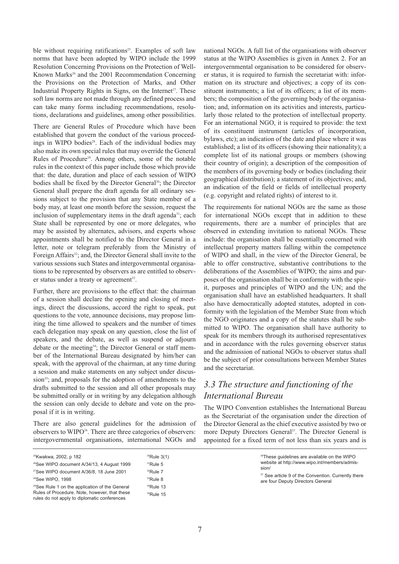ble without requiring ratifications<sup>25</sup>. Examples of soft law norms that have been adopted by WIPO include the 1999 Resolution Concerning Provisions on the Protection of Well-Known Marks<sup>26</sup> and the 2001 Recommendation Concerning the Provisions on the Protection of Marks, and Other Industrial Property Rights in Signs, on the Internet<sup>27</sup>. These soft law norms are not made through any defined process and can take many forms including recommendations, resolutions, declarations and guidelines, among other possibilities.

There are General Rules of Procedure which have been established that govern the conduct of the various proceedings in WIPO bodies<sup>28</sup>. Each of the individual bodies may also make its own special rules that may override the General Rules of Procedure<sup>29</sup>. Among others, some of the notable rules in the context of this paper include those which provide that: the date, duration and place of each session of WIPO bodies shall be fixed by the Director General<sup>30</sup>; the Director General shall prepare the draft agenda for all ordinary sessions subject to the provision that any State member of a body may, at least one month before the session, request the inclusion of supplementary items in the draft agenda<sup>31</sup>; each State shall be represented by one or more delegates, who may be assisted by alternates, advisors, and experts whose appointments shall be notified to the Director General in a letter, note or telegram preferably from the Ministry of Foreign Affairs<sup>32</sup>; and, the Director General shall invite to the various sessions such States and intergovernmental organisations to be represented by observers as are entitled to observer status under a treaty or agreement<sup>33</sup>.

Further, there are provisions to the effect that: the chairman of a session shall declare the opening and closing of meetings, direct the discussions, accord the right to speak, put questions to the vote, announce decisions, may propose limiting the time allowed to speakers and the number of times each delegation may speak on any question, close the list of speakers, and the debate, as well as suspend or adjourn debate or the meeting<sup>34</sup>; the Director General or staff member of the International Bureau designated by him/her can speak, with the approval of the chairman, at any time during a session and make statements on any subject under discussion<sup>35</sup>; and, proposals for the adoption of amendments to the drafts submitted to the session and all other proposals may be submitted orally or in writing by any delegation although the session can only decide to debate and vote on the proposal if it is in writing.

There are also general guidelines for the admission of observers to WIPO<sup>36</sup>. There are three categories of observers: intergovernmental organisations, international NGOs and national NGOs. A full list of the organisations with observer status at the WIPO Assemblies is given in Annex 2. For an intergovernmental organisation to be considered for observer status, it is required to furnish the secretariat with: information on its structure and objectives; a copy of its constituent instruments; a list of its officers; a list of its members; the composition of the governing body of the organisation; and, information on its activities and interests, particularly those related to the protection of intellectual property. For an international NGO, it is required to provide: the text of its constituent instrument (articles of incorporation, bylaws, etc); an indication of the date and place where it was established; a list of its officers (showing their nationality); a complete list of its national groups or members (showing their country of origin); a description of the composition of the members of its governing body or bodies (including their geographical distribution); a statement of its objectives; and, an indication of the field or fields of intellectual property (e.g. copyright and related rights) of interest to it.

The requirements for national NGOs are the same as those for international NGOs except that in addition to these requirements, there are a number of principles that are observed in extending invitation to national NGOs. These include: the organisation shall be essentially concerned with intellectual property matters falling within the competence of WIPO and shall, in the view of the Director General, be able to offer constructive, substantive contributions to the deliberations of the Assemblies of WIPO; the aims and purposes of the organisation shall be in conformity with the spirit, purposes and principles of WIPO and the UN; and the organisation shall have an established headquarters. It shall also have democratically adopted statutes, adopted in conformity with the legislation of the Member State from which the NGO originates and a copy of the statutes shall be submitted to WIPO. The organisation shall have authority to speak for its members through its authorised representatives and in accordance with the rules governing observer status and the admission of national NGOs to observer status shall be the subject of prior consultations between Member States and the secretariat.

## *3.3 The structure and functioning of the International Bureau*

The WIPO Convention establishes the International Bureau as the Secretariat of the organisation under the direction of the Director General as the chief executive assisted by two or more Deputy Directors General<sup>37</sup>. The Director General is appointed for a fixed term of not less than six years and is

| <sup>25</sup> Kwakwa, 2002, p 182<br><sup>26</sup> See WIPO document A/34/13, 4 August 1999<br><sup>27</sup> See WIPO document A/36/8, 18 June 2001<br><sup>28</sup> See WIPO, 1998 | $^{30}$ Rule 3(1)<br>$31$ Rule 5<br>$32$ Rule 7<br><sup>33</sup> Rule 8 | <sup>36</sup> These guidelines are available on the WIPO<br>website at http://www.wipo.int/members/admis-<br>sion/<br><sup>37</sup> See article 9 of the Convention. Currently there<br>are four Deputy Directors General |
|-------------------------------------------------------------------------------------------------------------------------------------------------------------------------------------|-------------------------------------------------------------------------|---------------------------------------------------------------------------------------------------------------------------------------------------------------------------------------------------------------------------|
| <sup>29</sup> See Rule 1 on the application of the General<br>Rules of Procedure. Note, however, that these<br>rules do not apply to diplomatic conferences                         | $34$ Rule 13<br>$35$ Rule 15                                            |                                                                                                                                                                                                                           |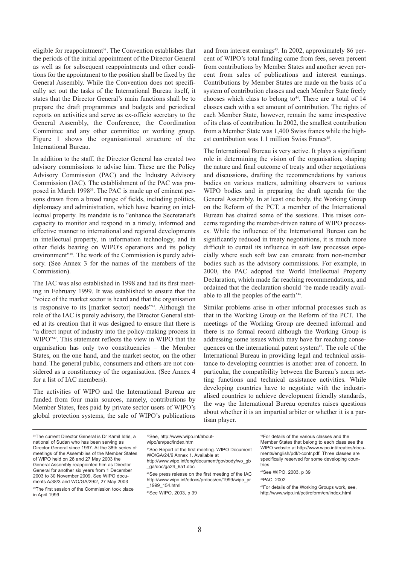<span id="page-9-0"></span>eligible for reappointment<sup>38</sup>. The Convention establishes that the periods of the initial appointment of the Director General as well as for subsequent reappointments and other conditions for the appointment to the position shall be fixed by the General Assembly. While the Convention does not specifically set out the tasks of the International Bureau itself, it states that the Director General's main functions shall be to prepare the draft programmes and budgets and periodical reports on activities and serve as ex-officio secretary to the General Assembly, the Conference, the Coordination Committee and any other committee or working group. Figure 1 shows the organisational structure of the International Bureau.

In addition to the staff, the Director General has created two advisory commissions to advise him. These are the Policy Advisory Commission (PAC) and the Industry Advisory Commission (IAC). The establishment of the PAC was proposed in March 1998<sup>39</sup>. The PAC is made up of eminent persons drawn from a broad range of fields, including politics, diplomacy and administration, which have bearing on intellectual property. Its mandate is to "enhance the Secretariat's capacity to monitor and respond in a timely, informed and effective manner to international and regional developments in intellectual property, in information technology, and in other fields bearing on WIPO's operations and its policy environment"40. The work of the Commission is purely advisory. (See Annex 3 for the names of the members of the Commission).

The IAC was also established in 1998 and had its first meeting in February 1999. It was established to ensure that the "voice of the market sector is heard and that the organisation is responsive to its [market sector] needs"<sup>41</sup>. Although the role of the IAC is purely advisory, the Director General stated at its creation that it was designed to ensure that there is "a direct input of industry into the policy-making process in WIPO"42. This statement reflects the view in WIPO that the organisation has only two constituencies – the Member States, on the one hand, and the market sector, on the other hand. The general public, consumers and others are not considered as a constituency of the organisation. (See Annex 4 for a list of IAC members).

The activities of WIPO and the International Bureau are funded from four main sources, namely, contributions by Member States, fees paid by private sector users of WIPO's global protection systems, the sale of WIPO's publications and from interest earnings<sup>43</sup>. In 2002, approximately 86 percent of WIPO's total funding came from fees, seven percent from contributions by Member States and another seven percent from sales of publications and interest earnings. Contributions by Member States are made on the basis of a system of contribution classes and each Member State freely chooses which class to belong to $44$ . There are a total of 14 classes each with a set amount of contribution. The rights of each Member State, however, remain the same irrespective of its class of contribution. In 2002, the smallest contribution from a Member State was 1,400 Swiss francs while the highest contribution was 1.1 million Swiss Francs<sup>45</sup>.

The International Bureau is very active. It plays a significant role in determining the vision of the organisation, shaping the nature and final outcome of treaty and other negotiations and discussions, drafting the recommendations by various bodies on various matters, admitting observers to various WIPO bodies and in preparing the draft agenda for the General Assembly. In at least one body, the Working Group on the Reform of the PCT, a member of the International Bureau has chaired some of the sessions. This raises concerns regarding the member-driven nature of WIPO processes. While the influence of the International Bureau can be significantly reduced in treaty negotiations, it is much more difficult to curtail its influence in soft law processes especially where such soft law can emanate from non-member bodies such as the advisory commissions. For example, in 2000, the PAC adopted the World Intellectual Property Declaration, which made far reaching recommendations, and ordained that the declaration should 'be made readily available to all the peoples of the earth'46.

Similar problems arise in other informal processes such as that in the Working Group on the Reform of the PCT. The meetings of the Working Group are deemed informal and there is no formal record although the Working Group is addressing some issues which may have far reaching consequences on the international patent system<sup>47</sup>. The role of the International Bureau in providing legal and technical assistance to developing countries is another area of concern. In particular, the compatibility between the Bureau's norm setting functions and technical assistance activities. While developing countries have to negotiate with the industrialised countries to achieve development friendly standards, the way the International Bureau operates raises questions about whether it is an impartial arbiter or whether it is a partisan player.

<sup>&</sup>lt;sup>38</sup>The current Director General is Dr Kamil Idris, a national of Sudan who has been serving as Director General since 1997. At the 38th series of meetings of the Assemblies of the Member States of WIPO held on 26 and 27 May 2003 the General Assembly reappointed him as Director General for another six years from 1 December 2003 to 30 November 2009. See WIPO documents A/38/3 and WO/GA/29/2, 27 May 2003

<sup>&</sup>lt;sup>39</sup>The first session of the Commission took place in April 1999

[<sup>40</sup>See, http://www.wipo.int/about](http://www.wipo.int/aboutwipo/en/pac/index.htm)wipo/en/pac/index.htm

<sup>41</sup>See Report of the first meeting. WIPO Document WO/GA/24/6 Annex 1. Available at [http://www.wipo.int/eng/document/govbody/wo\\_gb](http://www.wipo.int/eng/document/govbody/wo_gb)

\_ga/doc/ga24\_6a1.doc

<sup>42</sup>See press release on the first meeting of the IAC [http://www.wipo.int/edocs/prdocs/en/1999/wipo\\_pr](http://www.wipo.int/edocs/prdocs/en/1999/wipo_pr) \_1999\_154.html

<sup>43</sup>See WIPO, 2003, p 39

<sup>44</sup>For details of the various classes and the Member States that belong to each class see the [WIPO website at http://www.wipo.int/treaties/docu](http://www.wipo.int/treaties/documents/english/pdf/t-contr.pdf)ments/english/pdf/t-contr.pdf. Three classes are specifically reserved for some developing countries

<sup>45</sup>See WIPO, 2003, p 39

<sup>46</sup>PAC, 2002

<sup>47</sup>For details of the Working Groups work, see, <http://www.wipo.int/pct/reform/en/index.html>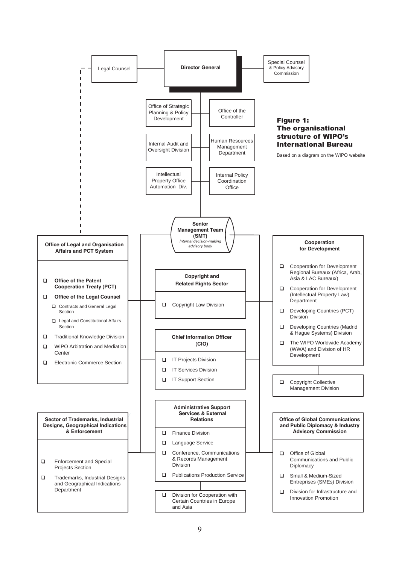<span id="page-10-0"></span>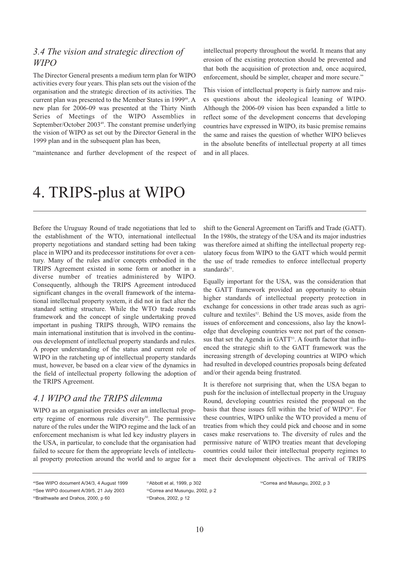## <span id="page-11-0"></span>*3.4 The vision and strategic direction of WIPO*

The Director General presents a medium term plan for WIPO activities every four years. This plan sets out the vision of the organisation and the strategic direction of its activities. The current plan was presented to the Member States in 1999<sup>48</sup>. A new plan for 2006-09 was presented at the Thirty Ninth Series of Meetings of the WIPO Assemblies in September/October 2003<sup>49</sup>. The constant premise underlying the vision of WIPO as set out by the Director General in the 1999 plan and in the subsequent plan has been,

"maintenance and further development of the respect of

intellectual property throughout the world. It means that any erosion of the existing protection should be prevented and that both the acquisition of protection and, once acquired, enforcement, should be simpler, cheaper and more secure."

This vision of intellectual property is fairly narrow and raises questions about the ideological leaning of WIPO. Although the 2006-09 vision has been expanded a little to reflect some of the development concerns that developing countries have expressed in WIPO, its basic premise remains the same and raises the question of whether WIPO believes in the absolute benefits of intellectual property at all times and in all places.

## 4. TRIPS-plus at WIPO

Before the Uruguay Round of trade negotiations that led to the establishment of the WTO, international intellectual property negotiations and standard setting had been taking place in WIPO and its predecessor institutions for over a century. Many of the rules and/or concepts embodied in the TRIPS Agreement existed in some form or another in a diverse number of treaties administered by WIPO. Consequently, although the TRIPS Agreement introduced significant changes in the overall framework of the international intellectual property system, it did not in fact alter the standard setting structure. While the WTO trade rounds framework and the concept of single undertaking proved important in pushing TRIPS through, WIPO remains the main international institution that is involved in the continuous development of intellectual property standards and rules. A proper understanding of the status and current role of WIPO in the ratcheting up of intellectual property standards must, however, be based on a clear view of the dynamics in the field of intellectual property following the adoption of the TRIPS Agreement.

### *4.1 WIPO and the TRIPS dilemma*

WIPO as an organisation presides over an intellectual property regime of enormous rule diversity<sup>50</sup>. The permissive nature of the rules under the WIPO regime and the lack of an enforcement mechanism is what led key industry players in the USA, in particular, to conclude that the organisation had failed to secure for them the appropriate levels of intellectual property protection around the world and to argue for a shift to the General Agreement on Tariffs and Trade (GATT). In the 1980s, the strategy of the USA and its major industries was therefore aimed at shifting the intellectual property regulatory focus from WIPO to the GATT which would permit the use of trade remedies to enforce intellectual property standards<sup>51</sup>

Equally important for the USA, was the consideration that the GATT framework provided an opportunity to obtain higher standards of intellectual property protection in exchange for concessions in other trade areas such as agriculture and textiles<sup>52</sup>. Behind the US moves, aside from the issues of enforcement and concessions, also lay the knowledge that developing countries were not part of the consensus that set the Agenda in GATT<sup>53</sup>. A fourth factor that influenced the strategic shift to the GATT framework was the increasing strength of developing countries at WIPO which had resulted in developed countries proposals being defeated and/or their agenda being frustrated.

It is therefore not surprising that, when the USA began to push for the inclusion of intellectual property in the Uruguay Round, developing countries resisted the proposal on the basis that these issues fell within the brief of WIPO<sup>54</sup>. For these countries, WIPO unlike the WTO provided a menu of treaties from which they could pick and choose and in some cases make reservations to. The diversity of rules and the permissive nature of WIPO treaties meant that developing countries could tailor their intellectual property regimes to meet their development objectives. The arrival of TRIPS

<sup>48</sup>See WIPO document A/34/3, 4 August 1999 49See WIPO document A/39/5, 21 July 2003

<sup>50</sup>Braithwaite and Drahos, 2000, p 60

<sup>51</sup>Abbott et al, 1999, p 302 52Correa and Musungu, 2002, p 2 53Drahos, 2002, p 12

<sup>54</sup>Correa and Musungu, 2002, p 3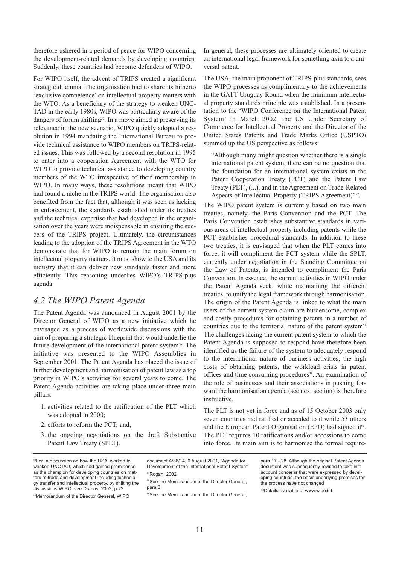<span id="page-12-0"></span>therefore ushered in a period of peace for WIPO concerning the development-related demands by developing countries. Suddenly, these countries had become defenders of WIPO.

For WIPO itself, the advent of TRIPS created a significant strategic dilemma. The organisation had to share its hitherto 'exclusive competence' on intellectual property matters with the WTO. As a beneficiary of the strategy to weaken UNC-TAD in the early 1980s, WIPO was particularly aware of the dangers of forum shifting<sup>55</sup>. In a move aimed at preserving its relevance in the new scenario, WIPO quickly adopted a resolution in 1994 mandating the International Bureau to provide technical assistance to WIPO members on TRIPS-related issues. This was followed by a second resolution in 1995 to enter into a cooperation Agreement with the WTO for WIPO to provide technical assistance to developing country members of the WTO irrespective of their membership in WIPO. In many ways, these resolutions meant that WIPO had found a niche in the TRIPS world. The organisation also benefited from the fact that, although it was seen as lacking in enforcement, the standards established under its treaties and the technical expertise that had developed in the organisation over the years were indispensable in ensuring the success of the TRIPS project. Ultimately, the circumstances leading to the adoption of the TRIPS Agreement in the WTO demonstrate that for WIPO to remain the main forum on intellectual property matters, it must show to the USA and its industry that it can deliver new standards faster and more efficiently. This reasoning underlies WIPO's TRIPS-plus agenda.

## *4.2 The WIPO Patent Agenda*

The Patent Agenda was announced in August 2001 by the Director General of WIPO as a new initiative which he envisaged as a process of worldwide discussions with the aim of preparing a strategic blueprint that would underlie the future development of the international patent system<sup>56</sup>. The initiative was presented to the WIPO Assemblies in September 2001. The Patent Agenda has placed the issue of further development and harmonisation of patent law as a top priority in WIPO's activities for several years to come. The Patent Agenda activities are taking place under three main pillars:

- 1. activities related to the ratification of the PLT which was adopted in 2000;
- 2. efforts to reform the PCT; and,
- 3. the ongoing negotiations on the draft Substantive Patent Law Treaty (SPLT).

In general, these processes are ultimately oriented to create an international legal framework for something akin to a universal patent.

The USA, the main proponent of TRIPS-plus standards, sees the WIPO processes as complimentary to the achievements in the GATT Uruguay Round when the minimum intellectual property standards principle was established. In a presentation to the 'WIPO Conference on the International Patent System' in March 2002, the US Under Secretary of Commerce for Intellectual Property and the Director of the United States Patents and Trade Marks Office (USPTO) summed up the US perspective as follows:

"Although many might question whether there is a single international patent system, there can be no question that the foundation for an international system exists in the Patent Cooperation Treaty (PCT) and the Patent Law Treaty (PLT), (...), and in the Agreement on Trade-Related Aspects of Intellectual Property (TRIPS Agreement)"57.

The WIPO patent system is currently based on two main treaties, namely, the Paris Convention and the PCT. The Paris Convention establishes substantive standards in various areas of intellectual property including patents while the PCT establishes procedural standards. In addition to these two treaties, it is envisaged that when the PLT comes into force, it will compliment the PCT system while the SPLT, currently under negotiation in the Standing Committee on the Law of Patents, is intended to compliment the Paris Convention. In essence, the current activities in WIPO under the Patent Agenda seek, while maintaining the different treaties, to unify the legal framework through harmonisation. The origin of the Patent Agenda is linked to what the main users of the current system claim are burdensome, complex and costly procedures for obtaining patents in a number of countries due to the territorial nature of the patent system<sup>58</sup> The challenges facing the current patent system to which the Patent Agenda is supposed to respond have therefore been identified as the failure of the system to adequately respond to the international nature of business activities, the high costs of obtaining patents, the workload crisis in patent offices and time consuming procedures<sup>59</sup>. An examination of the role of businesses and their associations in pushing forward the harmonisation agenda (see next section) is therefore instructive.

The PLT is not yet in force and as of 15 October 2003 only seven countries had ratified or acceded to it while 53 others and the European Patent Organisation (EPO) had signed it<sup>60</sup>. The PLT requires 10 ratifications and/or accessions to come into force. Its main aim is to harmonise the formal require-

55For a discussion on how the USA worked to weaken UNCTAD, which had gained prominence as the champion for developing countries on matters of trade and development including technology transfer and intellectual property, by shifting the discussions WIPO, see Drahos, 2002, p 22

56Memorandum of the Director General, WIPO

document A/36/14, 6 August 2001, "Agenda for Development of the International Patent System" 57Rogan, 2002

59See the Memorandum of the Director General,

para 17 - 28. Although the original Patent Agenda document was subsequently revised to take into account concerns that were expressed by developing countries, the basic underlying premises for the process have not changed

<sup>58</sup>See the Memorandum of the Director General, para 3

<sup>60</sup>Details available at www.wipo.int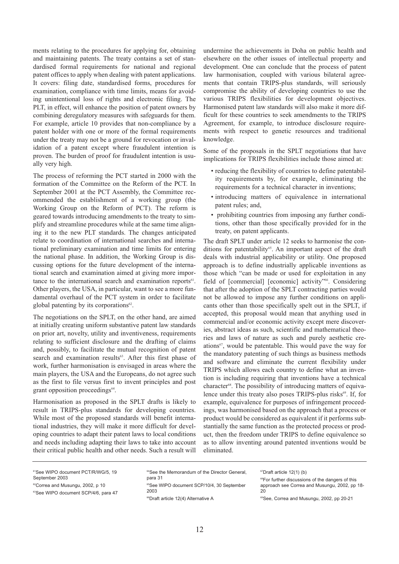ments relating to the procedures for applying for, obtaining and maintaining patents. The treaty contains a set of standardised formal requirements for national and regional patent offices to apply when dealing with patent applications. It covers: filing date, standardised forms, procedures for examination, compliance with time limits, means for avoiding unintentional loss of rights and electronic filing. The PLT, in effect, will enhance the position of patent owners by combining deregulatory measures with safeguards for them. For example, article 10 provides that non-compliance by a patent holder with one or more of the formal requirements under the treaty may not be a ground for revocation or invalidation of a patent except where fraudulent intention is proven. The burden of proof for fraudulent intention is usually very high.

The process of reforming the PCT started in 2000 with the formation of the Committee on the Reform of the PCT. In September 2001 at the PCT Assembly, the Committee recommended the establishment of a working group (the Working Group on the Reform of PCT). The reform is geared towards introducing amendments to the treaty to simplify and streamline procedures while at the same time aligning it to the new PLT standards. The changes anticipated relate to coordination of international searches and international preliminary examination and time limits for entering the national phase. In addition, the Working Group is discussing options for the future development of the international search and examination aimed at giving more importance to the international search and examination reports<sup>61</sup>. Other players, the USA, in particular, want to see a more fundamental overhaul of the PCT system in order to facilitate global patenting by its corporations $62$ .

The negotiations on the SPLT, on the other hand, are aimed at initially creating uniform substantive patent law standards on prior art, novelty, utility and inventiveness, requirements relating to sufficient disclosure and the drafting of claims and, possibly, to facilitate the mutual recognition of patent search and examination results<sup>63</sup>. After this first phase of work, further harmonisation is envisaged in areas where the main players, the USA and the Europeans, do not agree such as the first to file versus first to invent principles and post grant opposition proceedings<sup>64</sup>.

Harmonisation as proposed in the SPLT drafts is likely to result in TRIPS-plus standards for developing countries. While most of the proposed standards will benefit international industries, they will make it more difficult for developing countries to adapt their patent laws to local conditions and needs including adapting their laws to take into account their critical public health and other needs. Such a result will

undermine the achievements in Doha on public health and elsewhere on the other issues of intellectual property and development. One can conclude that the process of patent law harmonisation, coupled with various bilateral agreements that contain TRIPS-plus standards, will seriously compromise the ability of developing countries to use the various TRIPS flexibilities for development objectives. Harmonised patent law standards will also make it more difficult for these countries to seek amendments to the TRIPS Agreement, for example, to introduce disclosure requirements with respect to genetic resources and traditional knowledge.

Some of the proposals in the SPLT negotiations that have implications for TRIPS flexibilities include those aimed at:

- reducing the flexibility of countries to define patentability requirements by, for example, eliminating the requirements for a technical character in inventions;
- introducing matters of equivalence in international patent rules; and,
- prohibiting countries from imposing any further conditions, other than those specifically provided for in the treaty, on patent applicants.

The draft SPLT under article 12 seeks to harmonise the conditions for patentability<sup>65</sup>. An important aspect of the draft deals with industrial applicability or utility. One proposed approach is to define industrially applicable inventions as those which "can be made or used for exploitation in any field of [commercial] [economic] activity"<sup>66</sup>. Considering that after the adoption of the SPLT contracting parties would not be allowed to impose any further conditions on applicants other than those specifically spelt out in the SPLT, if accepted, this proposal would mean that anything used in commercial and/or economic activity except mere discoveries, abstract ideas as such, scientific and mathematical theories and laws of nature as such and purely aesthetic creations<sup>67</sup>, would be patentable. This would pave the way for the mandatory patenting of such things as business methods and software and eliminate the current flexibility under TRIPS which allows each country to define what an invention is including requiring that inventions have a technical character<sup>68</sup>. The possibility of introducing matters of equivalence under this treaty also poses TRIPS-plus risks<sup>69</sup>. If, for example, equivalence for purposes of infringement proceedings, was harmonised based on the approach that a process or product would be considered as equivalent if it performs substantially the same function as the protected process or product, then the freedom under TRIPS to define equivalence so as to allow inventing around patented inventions would be eliminated.

<sup>61</sup>See WIPO document PCT/R/WG/5, 19 September 2003

<sup>&</sup>lt;sup>62</sup>Correa and Musungu, 2002, p 10

<sup>&</sup>lt;sup>63</sup>See WIPO document SCP/4/6, para 47

<sup>64</sup>See the Memorandum of the Director General, para 31

<sup>&</sup>lt;sup>65</sup>See WIPO document SCP/10/4, 30 September 2003

<sup>&</sup>lt;sup>66</sup>Draft article 12(4) Alternative A

<sup>67</sup>Draft article 12(1) (b)

<sup>&</sup>lt;sup>68</sup>For further discussions of the dangers of this approach see Correa and Musungu, 2002, pp 18-  $20$ 

<sup>69</sup>See, Correa and Musungu, 2002, pp 20-21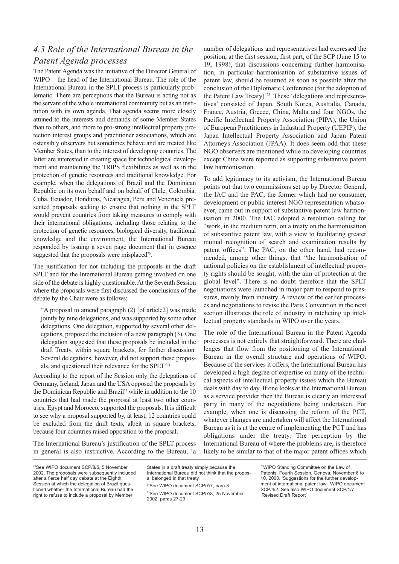## <span id="page-14-0"></span>*4.3 Role of the International Bureau in the Patent Agenda processes*

The Patent Agenda was the initiative of the Director General of WIPO – the head of the International Bureau. The role of the International Bureau in the SPLT process is particularly problematic. There are perceptions that the Bureau is acting not as the servant of the whole international community but as an institution with its own agenda. That agenda seems more closely attuned to the interests and demands of some Member States than to others, and more to pro-strong intellectual property protection interest groups and practitioner associations, which are ostensibly observers but sometimes behave and are treated like Member States, than to the interest of developing countries. The latter are interested in creating space for technological development and maintaining the TRIPS flexibilities as well as in the protection of genetic resources and traditional knowledge. For example, when the delegations of Brazil and the Dominican Republic on its own behalf and on behalf of Chile, Colombia, Cuba, Ecuador, Honduras, Nicaragua, Peru and Venezuela presented proposals seeking to ensure that nothing in the SPLT would prevent countries from taking measures to comply with their international obligations, including those relating to the protection of genetic resources, biological diversity, traditional knowledge and the environment, the International Bureau responded by issuing a seven page document that in essence suggested that the proposals were misplaced<sup>70</sup>.

The justification for not including the proposals in the draft SPLT and for the International Bureau getting involved on one side of the debate is highly questionable. At the Seventh Session where the proposals were first discussed the conclusions of the debate by the Chair were as follows:

"A proposal to amend paragraph (2) [of article2] was made jointly by nine delegations, and was supported by some other delegations. One delegation, supported by several other delegations, proposed the inclusion of a new paragraph (3). One delegation suggested that these proposals be included in the draft Treaty, within square brackets, for further discussion. Several delegations, however, did not support these proposals, and questioned their relevance for the SPLT"71.

According to the report of the Session only the delegations of Germany, Ireland, Japan and the USA opposed the proposals by the Dominican Republic and Brazil<sup>72</sup> while in addition to the 10 countries that had made the proposal at least two other countries, Egypt and Morocco, supported the proposals. It is difficult to see why a proposal supported by, at least, 12 countries could be excluded from the draft texts, albeit in square brackets, because four countries raised opposition to the proposal.

The International Bureau's justification of the SPLT process in general is also instructive. According to the Bureau, 'a number of delegations and representatives had expressed the position, at the first session, first part, of the SCP (June 15 to 19, 1998), that discussions concerning further harmonisation, in particular harmonisation of substantive issues of patent law, should be resumed as soon as possible after the conclusion of the Diplomatic Conference (for the adoption of the Patent Law Treaty)'73. These 'delegations and representatives' consisted of Japan, South Korea, Australia, Canada, France, Austria, Greece, China, Malta and four NGOs, the Pacific Intellectual Property Association (PIPA), the Union of European Practitioners in Industrial Property (UEPIP), the Japan Intellectual Property Association and Japan Patent Attorneys Association (JPAA). It does seem odd that these NGO observers are mentioned while no developing countries except China were reported as supporting substantive patent law harmonisation.

To add legitimacy to its activism, the International Bureau points out that two commissions set up by Director General, the IAC and the PAC, the former which had no consumer, development or public interest NGO representation whatsoever, came out in support of substantive patent law harmonisation in 2000. The IAC adopted a resolution calling for "work, in the medium term, on a treaty on the harmonisation of substantive patent law, with a view to facilitating greater mutual recognition of search and examination results by patent offices". The PAC, on the other hand, had recommended, among other things, that "the harmonisation of national policies on the establishment of intellectual property rights should be sought, with the aim of protection at the global level". There is no doubt therefore that the SPLT negotiations were launched in major part to respond to pressures, mainly from industry. A review of the earlier processes and negotiations to revise the Paris Convention in the next section illustrates the role of industry in ratcheting up intellectual property standards in WIPO over the years.

The role of the International Bureau in the Patent Agenda processes is not entirely that straightforward. There are challenges that flow from the positioning of the International Bureau in the overall structure and operations of WIPO. Because of the services it offers, the International Bureau has developed a high degree of expertise on many of the technical aspects of intellectual property issues which the Bureau deals with day to day. If one looks at the International Bureau as a service provider then the Bureau is clearly an interested party in many of the negotiations being undertaken. For example, when one is discussing the reform of the PCT, whatever changes are undertaken will affect the International Bureau as it is at the centre of implementing the PCT and has obligations under the treaty. The perception by the International Bureau of where the problems are, is therefore likely to be similar to that of the major patent offices which

70See WIPO document SCP/8/5, 5 November 2002. The proposals were subsequently included after a fierce half day debate at the Eighth Session at which the delegation of Brazil questioned whether the International Bureau had the

right to refuse to include a proposal by Member

States in a draft treaty simply because the International Bureau did not think that the proposal belonged in that treaty 71See WIPO document SCP/7/7, para 8 72See WIPO document SCP/7/8, 25 November 2002, paras 27-29

73WIPO Standing Committee on the Law of Patents. Fourth Session. Geneva, November 6 to 10, 2000. 'Suggestions for the further development of international patent law'. WIPO document SCP/4/2. See also WIPO document SCP/1/7 'Revised Draft Report'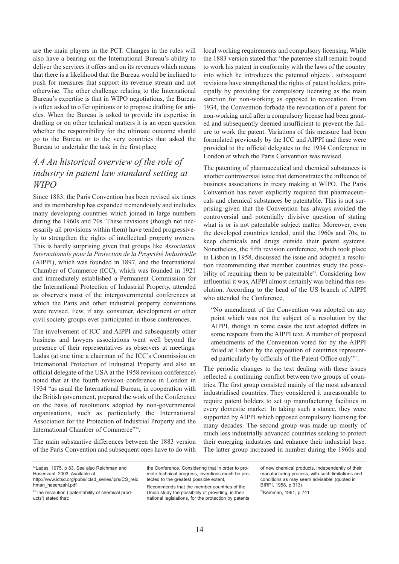<span id="page-15-0"></span>are the main players in the PCT. Changes in the rules will also have a bearing on the International Bureau's ability to deliver the services it offers and on its revenues which means that there is a likelihood that the Bureau would be inclined to push for measures that support its revenue stream and not otherwise. The other challenge relating to the International Bureau's expertise is that in WIPO negotiations, the Bureau is often asked to offer opinions or to propose drafting for articles. When the Bureau is asked to provide its expertise in drafting or on other technical matters it is an open question whether the responsibility for the ultimate outcome should go to the Bureau or to the very countries that asked the Bureau to undertake the task in the first place.

## *4.4 An historical overview of the role of industry in patent law standard setting at WIPO*

Since 1883, the Paris Convention has been revised six times and its membership has expanded tremendously and includes many developing countries which joined in large numbers during the 1960s and 70s. These revisions (though not necessarily all provisions within them) have tended progressively to strengthen the rights of intellectual property owners. This is hardly surprising given that groups like *Association Internationale pour la Protection de la Propriété Industrielle* (AIPPI), which was founded in 1897, and the International Chamber of Commerce (ICC), which was founded in 1921 and immediately established a Permanent Commission for the International Protection of Industrial Property, attended as observers most of the intergovernmental conferences at which the Paris and other industrial property conventions were revised. Few, if any, consumer, development or other civil society groups ever participated in those conferences.

The involvement of ICC and AIPPI and subsequently other business and lawyers associations went well beyond the presence of their representatives as observers at meetings. Ladas (at one time a chairman of the ICC's Commission on International Protection of Industrial Property and also an official delegate of the USA at the 1958 revision conference) noted that at the fourth revision conference in London in 1934 "as usual the International Bureau, in cooperation with the British government, prepared the work of the Conference on the basis of resolutions adopted by non-governmental organisations, such as particularly the International Association for the Protection of Industrial Property and the International Chamber of Commerce"74.

The main substantive differences between the 1883 version of the Paris Convention and subsequent ones have to do with

local working requirements and compulsory licensing. While the 1883 version stated that 'the patentee shall remain bound to work his patent in conformity with the laws of the country into which he introduces the patented objects', subsequent revisions have strengthened the rights of patent holders, principally by providing for compulsory licensing as the main sanction for non-working as opposed to revocation. From 1934, the Convention forbade the revocation of a patent for non-working until after a compulsory license had been granted and subsequently deemed insufficient to prevent the failure to work the patent. Variations of this measure had been formulated previously by the ICC and AIPPI and these were provided to the official delegates to the 1934 Conference in London at which the Paris Convention was revised.

The patenting of pharmaceutical and chemical substances is another controversial issue that demonstrates the influence of business associations in treaty making at WIPO. The Paris Convention has never explicitly required that pharmaceuticals and chemical substances be patentable. This is not surprising given that the Convention has always avoided the controversial and potentially divisive question of stating what is or is not patentable subject matter. Moreover, even the developed countries tended, until the 1960s and 70s, to keep chemicals and drugs outside their patent systems. Nonetheless, the fifth revision conference, which took place in Lisbon in 1958, discussed the issue and adopted a resolution recommending that member countries study the possibility of requiring them to be patentable<sup>75</sup>. Considering how influential it was, AIPPI almost certainly was behind this resolution. According to the head of the US branch of AIPPI who attended the Conference,

"No amendment of the Convention was adopted on any point which was not the subject of a resolution by the AIPPI, though in some cases the text adopted differs in some respects from the AIPPI text. A number of proposed amendments of the Convention voted for by the AIPPI failed at Lisbon by the opposition of countries represented particularly by officials of the Patent Office only"<sup>76</sup>.

The periodic changes to the text dealing with these issues reflected a continuing conflict between two groups of countries. The first group consisted mainly of the most advanced industrialised countries. They considered it unreasonable to require patent holders to set up manufacturing facilities in every domestic market. In taking such a stance, they were supported by AIPPI which opposed compulsory licensing for many decades. The second group was made up mostly of much less industrially advanced countries seeking to protect their emerging industries and enhance their industrial base. The latter group increased in number during the 1960s and

74Ladas, 1975, p 83. See also Reichman and Hasenzahl, 2003. Available at [http://www.ictsd.org/pubs/ictsd\\_series/iprs/CS\\_reic](http://www.ictsd.org/pubs/ictsd_series/iprs/CS_reic) hman\_hasenzahl.pdf

<sup>75</sup>The resolution ('patentability of chemical products') stated that:

the Conference, Considering that in order to promote technical progress, inventions much be protected to the greatest possible extent,

Recommends that the member countries of the Union study the possibility of providing, in their national legislations, for the protection by patents of new chemical products, independently of their manufacturing process, with such limitations and conditions as may seem advisable' (quoted in BIRPI, 1958, p 313)

76Kemman, 1961, p 741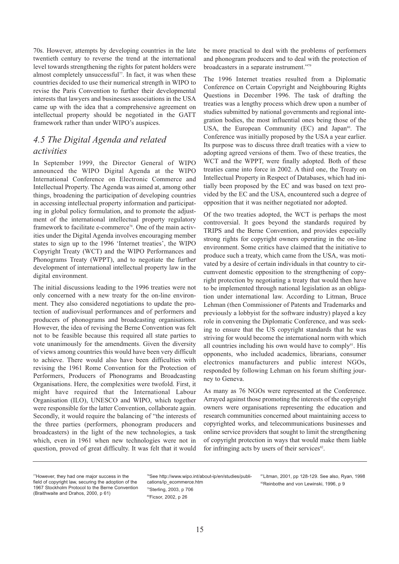<span id="page-16-0"></span>70s. However, attempts by developing countries in the late twentieth century to reverse the trend at the international level towards strengthening the rights for patent holders were almost completely unsuccessful<sup>77</sup>. In fact, it was when these countries decided to use their numerical strength in WIPO to revise the Paris Convention to further their developmental interests that lawyers and businesses associations in the USA came up with the idea that a comprehensive agreement on intellectual property should be negotiated in the GATT framework rather than under WIPO's auspices.

## *4.5 The Digital Agenda and related activities*

In September 1999, the Director General of WIPO announced the WIPO Digital Agenda at the WIPO International Conference on Electronic Commerce and Intellectual Property. The Agenda was aimed at, among other things, broadening the participation of developing countries in accessing intellectual property information and participating in global policy formulation, and to promote the adjustment of the international intellectual property regulatory framework to facilitate e-commerce<sup>78</sup>. One of the main activities under the Digital Agenda involves encouraging member states to sign up to the 1996 'Internet treaties', the WIPO Copyright Treaty (WCT) and the WIPO Performances and Phonograms Treaty (WPPT), and to negotiate the further development of international intellectual property law in the digital environment.

The initial discussions leading to the 1996 treaties were not only concerned with a new treaty for the on-line environment. They also considered negotiations to update the protection of audiovisual performances and of performers and producers of phonograms and broadcasting organisations. However, the idea of revising the Berne Convention was felt not to be feasible because this required all state parties to vote unanimously for the amendments. Given the diversity of views among countries this would have been very difficult to achieve. There would also have been difficulties with revising the 1961 Rome Convention for the Protection of Performers, Producers of Phonograms and Broadcasting Organisations. Here, the complexities were twofold. First, it might have required that the International Labour Organisation (ILO), UNESCO and WIPO, which together were responsible for the latter Convention, collaborate again. Secondly, it would require the balancing of "the interests of the three parties (performers, phonogram producers and broadcasters) in the light of the new technologies, a task which, even in 1961 when new technologies were not in question, proved of great difficulty. It was felt that it would be more practical to deal with the problems of performers and phonogram producers and to deal with the protection of broadcasters in a separate instrument."79

The 1996 Internet treaties resulted from a Diplomatic Conference on Certain Copyright and Neighbouring Rights Questions in December 1996. The task of drafting the treaties was a lengthy process which drew upon a number of studies submitted by national governments and regional integration bodies, the most influential ones being those of the USA, the European Community (EC) and Japan<sup>80</sup>. The Conference was initially proposed by the USA a year earlier. Its purpose was to discuss three draft treaties with a view to adopting agreed versions of them. Two of these treaties, the WCT and the WPPT, were finally adopted. Both of these treaties came into force in 2002. A third one, the Treaty on Intellectual Property in Respect of Databases, which had initially been proposed by the EC and was based on text provided by the EC and the USA, encountered such a degree of opposition that it was neither negotiated nor adopted.

Of the two treaties adopted, the WCT is perhaps the most controversial. It goes beyond the standards required by TRIPS and the Berne Convention, and provides especially strong rights for copyright owners operating in the on-line environment. Some critics have claimed that the initiative to produce such a treaty, which came from the USA, was motivated by a desire of certain individuals in that country to circumvent domestic opposition to the strengthening of copyright protection by negotiating a treaty that would then have to be implemented through national legislation as an obligation under international law. According to Litman, Bruce Lehman (then Commissioner of Patents and Trademarks and previously a lobbyist for the software industry) played a key role in convening the Diplomatic Conference, and was seeking to ensure that the US copyright standards that he was striving for would become the international norm with which all countries including his own would have to comply<sup>81</sup>. His opponents, who included academics, librarians, consumer electronics manufacturers and public interest NGOs, responded by following Lehman on his forum shifting journey to Geneva.

As many as 76 NGOs were represented at the Conference. Arrayed against those promoting the interests of the copyright owners were organisations representing the education and research communities concerned about maintaining access to copyrighted works, and telecommunications businesses and online service providers that sought to limit the strengthening of copyright protection in ways that would make them liable for infringing acts by users of their services $^{82}$ .

[78See http://www.wipo.int/about-ip/en/studies/publi](http://www.wipo.int/about-ip/en/studies/publications/ip_ecommerce.htm)cations/ip\_ecommerce.htm 79Sterling, 2003, p 706 80Ficsor, 2002, p 26

81Litman, 2001, pp 128-129. See also, Ryan, 1998 <sup>82</sup>Reinbothe and von Lewinski, 1996, p 9

<sup>77</sup>However, they had one major success in the field of copyright law, securing the adoption of the 1967 Stockholm Protocol to the Berne Convention (Braithwaite and Drahos, 2000, p 61)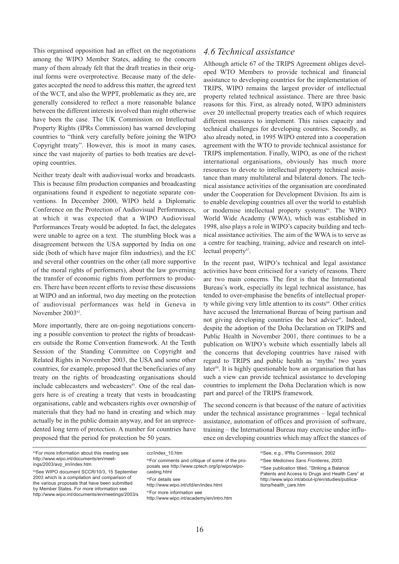<span id="page-17-0"></span>This organised opposition had an effect on the negotiations among the WIPO Member States, adding to the concern many of them already felt that the draft treaties in their original forms were overprotective. Because many of the delegates accepted the need to address this matter, the agreed text of the WCT, and also the WPPT, problematic as they are, are generally considered to reflect a more reasonable balance between the different interests involved than might otherwise have been the case. The UK Commission on Intellectual Property Rights (IPRs Commission) has warned developing countries to "think very carefully before joining the WIPO Copyright treaty". However, this is moot in many cases, since the vast majority of parties to both treaties are developing countries.

Neither treaty dealt with audiovisual works and broadcasts. This is because film production companies and broadcasting organisations found it expedient to negotiate separate conventions. In December 2000, WIPO held a Diplomatic Conference on the Protection of Audiovisual Performances, at which it was expected that a WIPO Audiovisual Performances Treaty would be adopted. In fact, the delegates were unable to agree on a text. The stumbling block was a disagreement between the USA supported by India on one side (both of which have major film industries), and the EC and several other countries on the other (all more supportive of the moral rights of performers), about the law governing the transfer of economic rights from performers to producers. There have been recent efforts to revise these discussions at WIPO and an informal, two day meeting on the protection of audiovisual performances was held in Geneva in November 2003<sup>83</sup>.

More importantly, there are on-going negotiations concerning a possible convention to protect the rights of broadcasters outside the Rome Convention framework. At the Tenth Session of the Standing Committee on Copyright and Related Rights in November 2003, the USA and some other countries, for example, proposed that the beneficiaries of any treaty on the rights of broadcasting organisations should include cablecasters and webcasters<sup>85</sup>. One of the real dangers here is of creating a treaty that vests in broadcasting organisations, cable and webcasters rights over ownership of materials that they had no hand in creating and which may actually be in the public domain anyway, and for an unprecedented long term of protection. A number for countries have proposed that the period for protection be 50 years.

### *4.6 Technical assistance*

Although article 67 of the TRIPS Agreement obliges developed WTO Members to provide technical and financial assistance to developing countries for the implementation of TRIPS, WIPO remains the largest provider of intellectual property related technical assistance. There are three basic reasons for this. First, as already noted, WIPO administers over 20 intellectual property treaties each of which requires different measures to implement. This raises capacity and technical challenges for developing countries. Secondly, as also already noted, in 1995 WIPO entered into a cooperation agreement with the WTO to provide technical assistance for TRIPS implementation. Finally, WIPO, as one of the richest international organisations, obviously has much more resources to devote to intellectual property technical assistance than many multilateral and bilateral donors. The technical assistance activities of the organisation are coordinated under the Cooperation for Development Division. Its aim is to enable developing countries all over the world to establish or modernise intellectual property systems<sup>86</sup>. The WIPO World Wide Academy (WWA), which was established in 1998, also plays a role in WIPO's capacity building and technical assistance activities. The aim of the WWA is to serve as a centre for teaching, training, advice and research on intellectual property<sup>87</sup>.

In the recent past, WIPO's technical and legal assistance activities have been criticised for a variety of reasons. There are two main concerns. The first is that the International Bureau's work, especially its legal technical assistance, has tended to over-emphasise the benefits of intellectual property while giving very little attention to its costs<sup>88</sup>. Other critics have accused the International Bureau of being partisan and not giving developing countries the best advice<sup>89</sup>. Indeed, despite the adoption of the Doha Declaration on TRIPS and Public Health in November 2001, there continues to be a publication on WIPO's website which essentially labels all the concerns that developing countries have raised with regard to TRIPS and public health as 'myths' two years later<sup>90</sup>. It is highly questionable how an organisation that has such a view can provide technical assistance to developing countries to implement the Doha Declaration which is now part and parcel of the TRIPS framework.

The second concern is that because of the nature of activities under the technical assistance programmes – legal technical assistance, automation of offices and provision of software, training – the International Bureau may exercise undue influence on developing countries which may affect the stances of

83For more information about this meeting see [http://www.wipo.int/documents/en/meet](http://www.wipo.int/documents/en/meetings/2003/avp_im/index.htm)ings/2003/avp\_im/index.htm

84See WIPO document SCCR/10/3, 15 September 2003 which is a compilation and comparison of the various proposals that have been submitted by Member States. For more information see <http://www.wipo.int/documents/en/meetings/2003/s> ccr/index\_10.htm <sup>85</sup>For comments and critique of some of the pro[posals see http://www.cptech.org/ip/wipo/wipo](http://www.cptech.org/ip/wipo/wipocasting.html)casting.html 86For details see <http://www.wipo.int/cfd/en/index.html> <sup>87</sup>For more information see <http://www.wipo.int/academy/en/intro.htm>

88See, e.g., IPRs Commission, 2002

89See *Medicines Sans Frontieres*, 2003

<sup>90</sup>See publication titled, "Striking a Balance: Patents and Access to Drugs and Health Care" at [http://www.wipo.int/about-ip/en/studies/publica](http://www.wipo.int/about-ip/en/studies/publications/health_care.htm)tions/health\_care.htm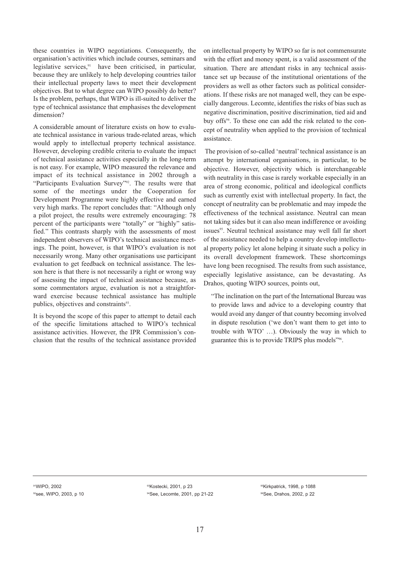these countries in WIPO negotiations. Consequently, the organisation's activities which include courses, seminars and legislative services,<sup>91</sup> have been criticised, in particular, because they are unlikely to help developing countries tailor their intellectual property laws to meet their development objectives. But to what degree can WIPO possibly do better? Is the problem, perhaps, that WIPO is ill-suited to deliver the type of technical assistance that emphasises the development dimension?

A considerable amount of literature exists on how to evaluate technical assistance in various trade-related areas, which would apply to intellectual property technical assistance. However, developing credible criteria to evaluate the impact of technical assistance activities especially in the long-term is not easy. For example, WIPO measured the relevance and impact of its technical assistance in 2002 through a "Participants Evaluation Survey"<sup>92</sup>. The results were that some of the meetings under the Cooperation for Development Programme were highly effective and earned very high marks. The report concludes that: "Although only a pilot project, the results were extremely encouraging: 78 percent of the participants were "totally" or "highly" satisfied." This contrasts sharply with the assessments of most independent observers of WIPO's technical assistance meetings. The point, however, is that WIPO's evaluation is not necessarily wrong. Many other organisations use participant evaluation to get feedback on technical assistance. The lesson here is that there is not necessarily a right or wrong way of assessing the impact of technical assistance because, as some commentators argue, evaluation is not a straightforward exercise because technical assistance has multiple publics, objectives and constraints<sup>93</sup>.

It is beyond the scope of this paper to attempt to detail each of the specific limitations attached to WIPO's technical assistance activities. However, the IPR Commission's conclusion that the results of the technical assistance provided on intellectual property by WIPO so far is not commensurate with the effort and money spent, is a valid assessment of the situation. There are attendant risks in any technical assistance set up because of the institutional orientations of the providers as well as other factors such as political considerations. If these risks are not managed well, they can be especially dangerous. Lecomte, identifies the risks of bias such as negative discrimination, positive discrimination, tied aid and buy offs<sup>94</sup>. To these one can add the risk related to the concept of neutrality when applied to the provision of technical assistance.

The provision of so-called 'neutral' technical assistance is an attempt by international organisations, in particular, to be objective. However, objectivity which is interchangeable with neutrality in this case is rarely workable especially in an area of strong economic, political and ideological conflicts such as currently exist with intellectual property. In fact, the concept of neutrality can be problematic and may impede the effectiveness of the technical assistance. Neutral can mean not taking sides but it can also mean indifference or avoiding issues<sup>95</sup>. Neutral technical assistance may well fall far short of the assistance needed to help a country develop intellectual property policy let alone helping it situate such a policy in its overall development framework. These shortcomings have long been recognised. The results from such assistance, especially legislative assistance, can be devastating. As Drahos, quoting WIPO sources, points out,

"The inclination on the part of the International Bureau was to provide laws and advice to a developing country that would avoid any danger of that country becoming involved in dispute resolution ('we don't want them to get into to trouble with WTO' …). Obviously the way in which to guarantee this is to provide TRIPS plus models"96.

91WIPO, 2002 92see, WIPO, 2003, p 10

93Kostecki, 2001, p 23 94See, Lecomte, 2001, pp 21-22

95Kirkpatrick, 1998, p 1088 96See, Drahos, 2002, p 22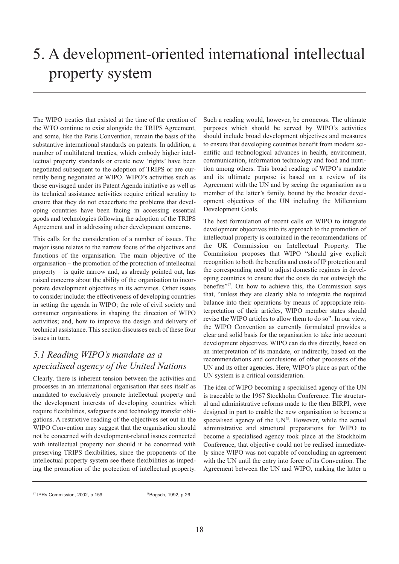# <span id="page-19-0"></span>5. A development-oriented international intellectual property system

The WIPO treaties that existed at the time of the creation of the WTO continue to exist alongside the TRIPS Agreement, and some, like the Paris Convention, remain the basis of the substantive international standards on patents. In addition, a number of multilateral treaties, which embody higher intellectual property standards or create new 'rights' have been negotiated subsequent to the adoption of TRIPS or are currently being negotiated at WIPO. WIPO's activities such as those envisaged under its Patent Agenda initiative as well as its technical assistance activities require critical scrutiny to ensure that they do not exacerbate the problems that developing countries have been facing in accessing essential goods and technologies following the adoption of the TRIPS Agreement and in addressing other development concerns.

This calls for the consideration of a number of issues. The major issue relates to the narrow focus of the objectives and functions of the organisation. The main objective of the organisation – the promotion of the protection of intellectual property – is quite narrow and, as already pointed out, has raised concerns about the ability of the organisation to incorporate development objectives in its activities. Other issues to consider include: the effectiveness of developing countries in setting the agenda in WIPO; the role of civil society and consumer organisations in shaping the direction of WIPO activities; and, how to improve the design and delivery of technical assistance. This section discusses each of these four issues in turn.

## *5.1 Reading WIPO's mandate as a specialised agency of the United Nations*

Clearly, there is inherent tension between the activities and processes in an international organisation that sees itself as mandated to exclusively promote intellectual property and the development interests of developing countries which require flexibilities, safeguards and technology transfer obligations. A restrictive reading of the objectives set out in the WIPO Convention may suggest that the organisation should not be concerned with development-related issues connected with intellectual property nor should it be concerned with preserving TRIPS flexibilities, since the proponents of the intellectual property system see these flexibilities as impeding the promotion of the protection of intellectual property.

Such a reading would, however, be erroneous. The ultimate purposes which should be served by WIPO's activities should include broad development objectives and measures to ensure that developing countries benefit from modern scientific and technological advances in health, environment, communication, information technology and food and nutrition among others. This broad reading of WIPO's mandate and its ultimate purpose is based on a review of its Agreement with the UN and by seeing the organisation as a member of the latter's family, bound by the broader development objectives of the UN including the Millennium Development Goals.

The best formulation of recent calls on WIPO to integrate development objectives into its approach to the promotion of intellectual property is contained in the recommendations of the UK Commission on Intellectual Property. The Commission proposes that WIPO "should give explicit recognition to both the benefits and costs of IP protection and the corresponding need to adjust domestic regimes in developing countries to ensure that the costs do not outweigh the benefits"97. On how to achieve this, the Commission says that, "unless they are clearly able to integrate the required balance into their operations by means of appropriate reinterpretation of their articles, WIPO member states should revise the WIPO articles to allow them to do so". In our view, the WIPO Convention as currently formulated provides a clear and solid basis for the organisation to take into account development objectives. WIPO can do this directly, based on an interpretation of its mandate, or indirectly, based on the recommendations and conclusions of other processes of the UN and its other agencies. Here, WIPO's place as part of the UN system is a critical consideration.

The idea of WIPO becoming a specialised agency of the UN is traceable to the 1967 Stockholm Conference. The structural and administrative reforms made to the then BIRPI, were designed in part to enable the new organisation to become a specialised agency of the UN<sup>98</sup>. However, while the actual administrative and structural preparations for WIPO to become a specialised agency took place at the Stockholm Conference, that objective could not be realised immediately since WIPO was not capable of concluding an agreement with the UN until the entry into force of its Convention. The Agreement between the UN and WIPO, making the latter a

<sup>&</sup>lt;sup>97</sup> IPRs Commission, 2002, p 159 9898869, 1992, p 26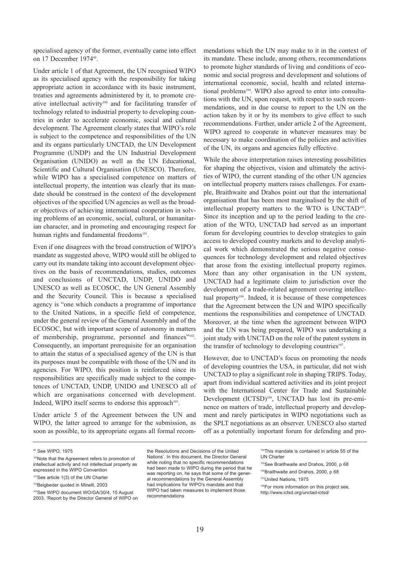specialised agency of the former, eventually came into effect on 17 December 1974<sup>99</sup>.

Under article 1 of that Agreement, the UN recognised WIPO as its specialised agency with the responsibility for taking appropriate action in accordance with its basic instrument, treaties and agreements administered by it, to promote creative intellectual activity<sup>100</sup> and for facilitating transfer of technology related to industrial property to developing countries in order to accelerate economic, social and cultural development. The Agreement clearly states that WIPO's role is subject to the competence and responsibilities of the UN and its organs particularly UNCTAD, the UN Development Programme (UNDP) and the UN Industrial Development Organisation (UNIDO) as well as the UN Educational, Scientific and Cultural Organisation (UNESCO). Therefore, while WIPO has a specialised competence on matters of intellectual property, the intention was clearly that its mandate should be construed in the context of the development objectives of the specified UN agencies as well as the broader objectives of achieving international cooperation in solving problems of an economic, social, cultural, or humanitarian character, and in promoting and encouraging respect for human rights and fundamental freedoms<sup>101</sup>.

Even if one disagrees with the broad construction of WIPO's mandate as suggested above, WIPO would still be obliged to carry out its mandate taking into account development objectives on the basis of recommendations, studies, outcomes and conclusions of UNCTAD, UNDP, UNIDO and UNESCO as well as ECOSOC, the UN General Assembly and the Security Council. This is because a specialised agency is "one which conducts a programme of importance to the United Nations, in a specific field of competence, under the general review of the General Assembly and of the ECOSOC, but with important scope of autonomy in matters of membership, programme, personnel and finances"<sup>102</sup>. Consequently, an important prerequisite for an organisation to attain the status of a specialised agency of the UN is that its purposes must be compatible with those of the UN and its agencies. For WIPO, this position is reinforced since its responsibilities are specifically made subject to the competences of UNCTAD, UNDP, UNIDO and UNESCO all of which are organisations concerned with development. Indeed, WIPO itself seems to endorse this approach<sup>103</sup>.

Under article 5 of the Agreement between the UN and WIPO, the latter agreed to arrange for the submission, as soon as possible, to its appropriate organs all formal recommendations which the UN may make to it in the context of its mandate. These include, among others, recommendations to promote higher standards of living and conditions of economic and social progress and development and solutions of international economic, social, health and related international problems<sup>104</sup>. WIPO also agreed to enter into consultations with the UN, upon request, with respect to such recommendations, and in due course to report to the UN on the action taken by it or by its members to give effect to such recommendations. Further, under article 2 of the Agreement, WIPO agreed to cooperate in whatever measures may be necessary to make coordination of the policies and activities of the UN, its organs and agencies fully effective.

While the above interpretation raises interesting possibilities for shaping the objectives, vision and ultimately the activities of WIPO, the current standing of the other UN agencies on intellectual property matters raises challenges. For example, Braithwaite and Drahos point out that the international organisation that has been most marginalised by the shift of intellectual property matters to the WTO is UNCTAD105. Since its inception and up to the period leading to the creation of the WTO, UNCTAD had served as an important forum for developing countries to develop strategies to gain access to developed country markets and to develop analytical work which demonstrated the serious negative consequences for technology development and related objectives that arose from the existing intellectual property regimes. More than any other organisation in the UN system, UNCTAD had a legitimate claim to jurisdiction over the development of a trade-related agreement covering intellectual property<sup>106</sup>. Indeed, it is because of these competences that the Agreement between the UN and WIPO specifically mentions the responsibilities and competence of UNCTAD. Moreover, at the time when the agreement between WIPO and the UN was being prepared, WIPO was undertaking a joint study with UNCTAD on the role of the patent system in the transfer of technology to developing countries<sup>107</sup>.

However, due to UNCTAD's focus on promoting the needs of developing countries the USA, in particular, did not wish UNCTAD to play a significant role in shaping TRIPS. Today, apart from individual scattered activities and its joint project with the International Center for Trade and Sustainable Development (ICTSD)<sup>108</sup>, UNCTAD has lost its pre-eminence on matters of trade, intellectual property and development and rarely participates in WIPO negotiations such as the SPLT negotiations as an observer. UNESCO also started off as a potentially important forum for defending and pro-

the Resolutions and Decisions of the United Nations'. In this document, the Director General while noting that no specific recommendations had been made to WIPO during the period that he was reporting on, he says that some of the general recommendations by the General Assembly had implications for WIPO's mandate and that WIPO had taken measures to implement those recommendations

<sup>99</sup> See WIPO, 1975

<sup>100</sup>Note that the Agreement refers to promotion of intellectual activity and not intellectual property as expressed in the WIPO Convention

<sup>101</sup>See article 1(3) of the UN Charter

<sup>102</sup>Beigbeder quoted in Minelli, 2003

<sup>103</sup>See WIPO document WO/GA/30/4, 15 August 2003. 'Report by the Director General of WIPO on

<sup>104</sup>This mandate is contained in article 55 of the UN Charter

<sup>105</sup>See Braithwaite and Drahos, 2000, p 68

<sup>106</sup>Braithwaite and Drahos, 2000, p 68 107United Nations, 1975

<sup>108</sup>For more information on this project see, <http://www.ictsd.org/unctad-ictsd/>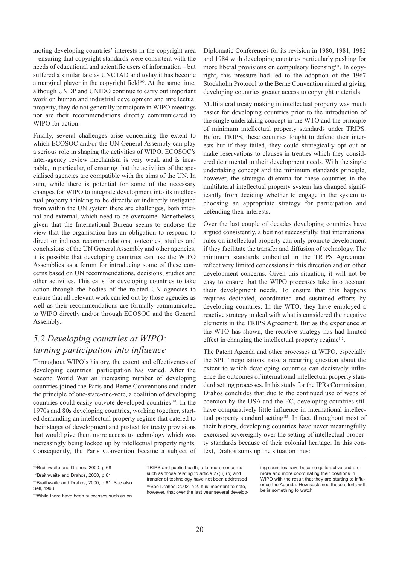<span id="page-21-0"></span>moting developing countries' interests in the copyright area – ensuring that copyright standards were consistent with the needs of educational and scientific users of information – but suffered a similar fate as UNCTAD and today it has become a marginal player in the copyright field<sup>109</sup>. At the same time, although UNDP and UNIDO continue to carry out important work on human and industrial development and intellectual property, they do not generally participate in WIPO meetings nor are their recommendations directly communicated to WIPO for action.

Finally, several challenges arise concerning the extent to which ECOSOC and/or the UN General Assembly can play a serious role in shaping the activities of WIPO. ECOSOC's inter-agency review mechanism is very weak and is incapable, in particular, of ensuring that the activities of the specialised agencies are compatible with the aims of the UN. In sum, while there is potential for some of the necessary changes for WIPO to integrate development into its intellectual property thinking to be directly or indirectly instigated from within the UN system there are challenges, both internal and external, which need to be overcome. Nonetheless, given that the International Bureau seems to endorse the view that the organisation has an obligation to respond to direct or indirect recommendations, outcomes, studies and conclusions of the UN General Assembly and other agencies, it is possible that developing countries can use the WIPO Assemblies as a forum for introducing some of these concerns based on UN recommendations, decisions, studies and other activities. This calls for developing countries to take action through the bodies of the related UN agencies to ensure that all relevant work carried out by those agencies as well as their recommendations are formally communicated to WIPO directly and/or through ECOSOC and the General Assembly.

## *5.2 Developing countries at WIPO: turning participation into influence*

Throughout WIPO's history, the extent and effectiveness of developing countries' participation has varied. After the Second World War an increasing number of developing countries joined the Paris and Berne Conventions and under the principle of one-state-one-vote, a coalition of developing countries could easily outvote developed countries<sup>110</sup>. In the 1970s and 80s developing countries, working together, started demanding an intellectual property regime that catered to their stages of development and pushed for treaty provisions that would give them more access to technology which was increasingly being locked up by intellectual property rights. Consequently, the Paris Convention became a subject of

TRIPS and public health, a lot more concerns such as those relating to article 27(3) (b) and transfer of technology have not been addressed 113See Drahos, 2002, p 2. It is important to note, however, that over the last year several develop-

Diplomatic Conferences for its revision in 1980, 1981, 1982 and 1984 with developing countries particularly pushing for more liberal provisions on compulsory licensing<sup>111</sup>. In copyright, this pressure had led to the adoption of the 1967 Stockholm Protocol to the Berne Convention aimed at giving developing countries greater access to copyright materials.

Multilateral treaty making in intellectual property was much easier for developing countries prior to the introduction of the single undertaking concept in the WTO and the principle of minimum intellectual property standards under TRIPS. Before TRIPS, these countries fought to defend their interests but if they failed, they could strategically opt out or make reservations to clauses in treaties which they considered detrimental to their development needs. With the single undertaking concept and the minimum standards principle, however, the strategic dilemma for these countries in the multilateral intellectual property system has changed significantly from deciding whether to engage in the system to choosing an appropriate strategy for participation and defending their interests.

Over the last couple of decades developing countries have argued consistently, albeit not successfully, that international rules on intellectual property can only promote development if they facilitate the transfer and diffusion of technology. The minimum standards embodied in the TRIPS Agreement reflect very limited concessions in this direction and on other development concerns. Given this situation, it will not be easy to ensure that the WIPO processes take into account their development needs. To ensure that this happens requires dedicated, coordinated and sustained efforts by developing countries. In the WTO, they have employed a reactive strategy to deal with what is considered the negative elements in the TRIPS Agreement. But as the experience at the WTO has shown, the reactive strategy has had limited effect in changing the intellectual property regime $112$ .

The Patent Agenda and other processes at WIPO, especially the SPLT negotiations, raise a recurring question about the extent to which developing countries can decisively influence the outcomes of international intellectual property standard setting processes. In his study for the IPRs Commission, Drahos concludes that due to the continued use of webs of coercion by the USA and the EC, developing countries still have comparatively little influence in international intellectual property standard setting<sup>113</sup>. In fact, throughout most of their history, developing countries have never meaningfully exercised sovereignty over the setting of intellectual property standards because of their colonial heritage. In this context, Drahos sums up the situation thus:

<sup>109</sup>Braithwaite and Drahos, 2000, p 68

<sup>110</sup>Braithwaite and Drahos, 2000, p 61

<sup>111</sup>Braithwaite and Drahos, 2000, p 61. See also Sell, 1998

<sup>112</sup>While there have been successes such as on

ing countries have become quite active and are more and more coordinating their positions in WIPO with the result that they are starting to influence the Agenda. How sustained these efforts will be is something to watch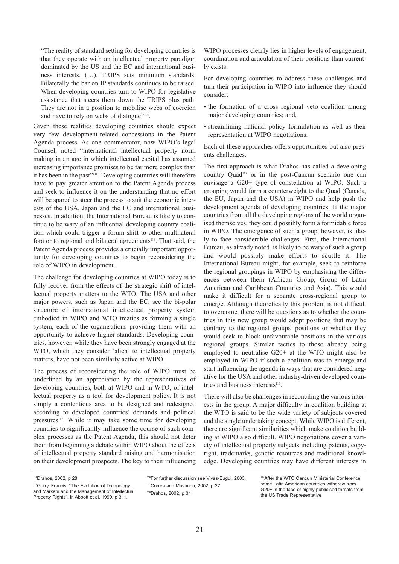"The reality of standard setting for developing countries is that they operate with an intellectual property paradigm dominated by the US and the EC and international business interests. (…). TRIPS sets minimum standards. Bilaterally the bar on IP standards continues to be raised. When developing countries turn to WIPO for legislative assistance that steers them down the TRIPS plus path. They are not in a position to mobilise webs of coercion and have to rely on webs of dialogue"<sup>114</sup>.

Given these realities developing countries should expect very few development-related concessions in the Patent Agenda process. As one commentator, now WIPO's legal Counsel, noted "international intellectual property norm making in an age in which intellectual capital has assumed increasing importance promises to be far more complex than it has been in the past"115. Developing countries will therefore have to pay greater attention to the Patent Agenda process and seek to influence it on the understanding that no effort will be spared to steer the process to suit the economic interests of the USA, Japan and the EC and international businesses. In addition, the International Bureau is likely to continue to be wary of an influential developing country coalition which could trigger a forum shift to other multilateral fora or to regional and bilateral agreements<sup>116</sup>. That said, the Patent Agenda process provides a crucially important opportunity for developing countries to begin reconsidering the role of WIPO in development.

The challenge for developing countries at WIPO today is to fully recover from the effects of the strategic shift of intellectual property matters to the WTO. The USA and other major powers, such as Japan and the EC, see the bi-polar structure of international intellectual property system embodied in WIPO and WTO treaties as forming a single system, each of the organisations providing them with an opportunity to achieve higher standards. Developing countries, however, while they have been strongly engaged at the WTO, which they consider 'alien' to intellectual property matters, have not been similarly active at WIPO.

The process of reconsidering the role of WIPO must be underlined by an appreciation by the representatives of developing countries, both at WIPO and in WTO, of intellectual property as a tool for development policy. It is not simply a contentious area to be designed and redesigned according to developed countries' demands and political pressures<sup>117</sup>. While it may take some time for developing countries to significantly influence the course of such complex processes as the Patent Agenda, this should not deter them from beginning a debate within WIPO about the effects of intellectual property standard raising and harmonisation on their development prospects. The key to their influencing WIPO processes clearly lies in higher levels of engagement, coordination and articulation of their positions than currently exists.

For developing countries to address these challenges and turn their participation in WIPO into influence they should consider:

- the formation of a cross regional veto coalition among major developing countries; and,
- streamlining national policy formulation as well as their representation at WIPO negotiations.

Each of these approaches offers opportunities but also presents challenges.

The first approach is what Drahos has called a developing country Quad118 or in the post-Cancun scenario one can envisage a G20+ type of constellation at WIPO. Such a grouping would form a counterweight to the Quad (Canada, the EU, Japan and the USA) in WIPO and help push the development agenda of developing countries. If the major countries from all the developing regions of the world organised themselves, they could possibly form a formidable force in WIPO. The emergence of such a group, however, is likely to face considerable challenges. First, the International Bureau, as already noted, is likely to be wary of such a group and would possibly make efforts to scuttle it. The International Bureau might, for example, seek to reinforce the regional groupings in WIPO by emphasising the differences between them (African Group, Group of Latin American and Caribbean Countries and Asia). This would make it difficult for a separate cross-regional group to emerge. Although theoretically this problem is not difficult to overcome, there will be questions as to whether the countries in this new group would adopt positions that may be contrary to the regional groups' positions or whether they would seek to block unfavourable positions in the various regional groups. Similar tactics to those already being employed to neutralise G20+ at the WTO might also be employed in WIPO if such a coalition was to emerge and start influencing the agenda in ways that are considered negative for the USA and other industry-driven developed countries and business interests<sup>119</sup>.

There will also be challenges in reconciling the various interests in the group. A major difficulty in coalition building at the WTO is said to be the wide variety of subjects covered and the single undertaking concept. While WIPO is different, there are significant similarities which make coalition building at WIPO also difficult. WIPO negotiations cover a variety of intellectual property subjects including patents, copyright, trademarks, genetic resources and traditional knowledge. Developing countries may have different interests in

<sup>114</sup>Drahos, 2002, p 28.

<sup>115</sup>Gurry, Francis, "The Evolution of Technology and Markets and the Management of Intellectual Property Rights", in Abbott et al, 1999, p 311.

<sup>116</sup>For further discussion see Vivas-Eugui, 2003. 117 Correa and Musungu, 2002, p 27

<sup>118</sup>Drahos, 2002, p 31

<sup>119</sup>After the WTO Cancun Ministerial Conference, some Latin American countries withdrew from G20+ in the face of highly publicised threats from the US Trade Representative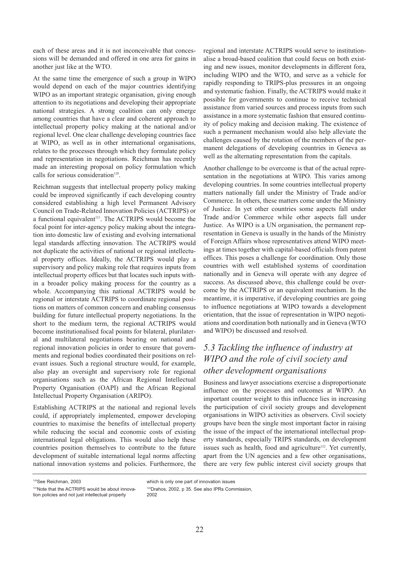<span id="page-23-0"></span>each of these areas and it is not inconceivable that concessions will be demanded and offered in one area for gains in another just like at the WTO.

At the same time the emergence of such a group in WIPO would depend on each of the major countries identifying WIPO as an important strategic organisation, giving enough attention to its negotiations and developing their appropriate national strategies. A strong coalition can only emerge among countries that have a clear and coherent approach to intellectual property policy making at the national and/or regional level. One clear challenge developing countries face at WIPO, as well as in other international organisations, relates to the processes through which they formulate policy and representation in negotiations. Reichman has recently made an interesting proposal on policy formulation which calls for serious consideration<sup>120</sup>.

Reichman suggests that intellectual property policy making could be improved significantly if each developing country considered establishing a high level Permanent Advisory Council on Trade-Related Innovation Policies (ACTRIPS) or a functional equivalent<sup>121</sup>. The ACTRIPS would become the focal point for inter-agency policy making about the integration into domestic law of existing and evolving international legal standards affecting innovation. The ACTRIPS would not duplicate the activities of national or regional intellectual property offices. Ideally, the ACTRIPS would play a supervisory and policy making role that requires inputs from intellectual property offices but that locates such inputs within a broader policy making process for the country as a whole. Accompanying this national ACTRIPS would be regional or interstate ACTRIPS to coordinate regional positions on matters of common concern and enabling consensus building for future intellectual property negotiations. In the short to the medium term, the regional ACTRIPS would become institutionalised focal points for bilateral, plurilateral and multilateral negotiations bearing on national and regional innovation policies in order to ensure that governments and regional bodies coordinated their positions on relevant issues. Such a regional structure would, for example, also play an oversight and supervisory role for regional organisations such as the African Regional Intellectual Property Organisation (OAPI) and the African Regional Intellectual Property Organisation (ARIPO).

Establishing ACTRIPS at the national and regional levels could, if appropriately implemented, empower developing countries to maximise the benefits of intellectual property while reducing the social and economic costs of existing international legal obligations. This would also help these countries position themselves to contribute to the future development of suitable international legal norms affecting national innovation systems and policies. Furthermore, the

regional and interstate ACTRIPS would serve to institutionalise a broad-based coalition that could focus on both existing and new issues, monitor developments in different fora, including WIPO and the WTO, and serve as a vehicle for rapidly responding to TRIPS-plus pressures in an ongoing and systematic fashion. Finally, the ACTRIPS would make it possible for governments to continue to receive technical assistance from varied sources and process inputs from such assistance in a more systematic fashion that ensured continuity of policy making and decision making. The existence of such a permanent mechanism would also help alleviate the challenges caused by the rotation of the members of the permanent delegations of developing countries in Geneva as well as the alternating representation from the capitals.

Another challenge to be overcome is that of the actual representation in the negotiations at WIPO. This varies among developing countries. In some countries intellectual property matters nationally fall under the Ministry of Trade and/or Commerce. In others, these matters come under the Ministry of Justice. In yet other countries some aspects fall under Trade and/or Commerce while other aspects fall under Justice. As WIPO is a UN organisation, the permanent representation in Geneva is usually in the hands of the Ministry of Foreign Affairs whose representatives attend WIPO meetings at times together with capital-based officials from patent offices. This poses a challenge for coordination. Only those countries with well established systems of coordination nationally and in Geneva will operate with any degree of success. As discussed above, this challenge could be overcome by the ACTRIPS or an equivalent mechanism. In the meantime, it is imperative, if developing countries are going to influence negotiations at WIPO towards a development orientation, that the issue of representation in WIPO negotiations and coordination both nationally and in Geneva (WTO and WIPO) be discussed and resolved.

## *5.3 Tackling the influence of industry at WIPO and the role of civil society and other development organisations*

Business and lawyer associations exercise a disproportionate influence on the processes and outcomes at WIPO. An important counter weight to this influence lies in increasing the participation of civil society groups and development organisations in WIPO activities as observers. Civil society groups have been the single most important factor in raising the issue of the impact of the international intellectual property standards, especially TRIPS standards, on development issues such as health, food and agriculture<sup>122</sup>. Yet currently, apart from the UN agencies and a few other organisations, there are very few public interest civil society groups that

120See Reichman, 2003

122Drahos, 2002, p 35. See also IPRs Commission, 2002

which is only one part of innovation issues

<sup>&</sup>lt;sup>121</sup>Note that the ACTRIPS would be about innovation policies and not just intellectual property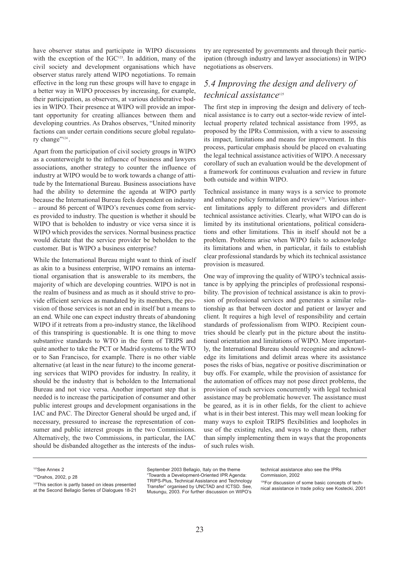have observer status and participate in WIPO discussions with the exception of the  $IGC<sup>123</sup>$ . In addition, many of the civil society and development organisations which have observer status rarely attend WIPO negotiations. To remain effective in the long run these groups will have to engage in a better way in WIPO processes by increasing, for example, their participation, as observers, at various deliberative bodies in WIPO. Their presence at WIPO will provide an important opportunity for creating alliances between them and developing countries. As Drahos observes, "United minority factions can under certain conditions secure global regulatory change"<sup>124</sup>.

Apart from the participation of civil society groups in WIPO as a counterweight to the influence of business and lawyers associations, another strategy to counter the influence of industry at WIPO would be to work towards a change of attitude by the International Bureau. Business associations have had the ability to determine the agenda at WIPO partly because the International Bureau feels dependent on industry – around 86 percent of WIPO's revenues come from services provided to industry. The question is whether it should be WIPO that is beholden to industry or vice versa since it is WIPO which provides the services. Normal business practice would dictate that the service provider be beholden to the customer. But is WIPO a business enterprise?

While the International Bureau might want to think of itself as akin to a business enterprise, WIPO remains an international organisation that is answerable to its members, the majority of which are developing countries. WIPO is not in the realm of business and as much as it should strive to provide efficient services as mandated by its members, the provision of those services is not an end in itself but a means to an end. While one can expect industry threats of abandoning WIPO if it retreats from a pro-industry stance, the likelihood of this transpiring is questionable. It is one thing to move substantive standards to WTO in the form of TRIPS and quite another to take the PCT or Madrid systems to the WTO or to San Francisco, for example. There is no other viable alternative (at least in the near future) to the income generating services that WIPO provides for industry. In reality, it should be the industry that is beholden to the International Bureau and not vice versa. Another important step that is needed is to increase the participation of consumer and other public interest groups and development organisations in the IAC and PAC. The Director General should be urged and, if necessary, pressured to increase the representation of consumer and public interest groups in the two Commissions. Alternatively, the two Commissions, in particular, the IAC should be disbanded altogether as the interests of the industry are represented by governments and through their participation (through industry and lawyer associations) in WIPO negotiations as observers.

## *5.4 Improving the design and delivery of technical assistance*<sup>125</sup>

The first step in improving the design and delivery of technical assistance is to carry out a sector-wide review of intellectual property related technical assistance from 1995, as proposed by the IPRs Commission, with a view to assessing its impact, limitations and means for improvement. In this process, particular emphasis should be placed on evaluating the legal technical assistance activities of WIPO. A necessary corollary of such an evaluation would be the development of a framework for continuous evaluation and review in future both outside and within WIPO.

Technical assistance in many ways is a service to promote and enhance policy formulation and review<sup>126</sup>. Various inherent limitations apply to different providers and different technical assistance activities. Clearly, what WIPO can do is limited by its institutional orientations, political considerations and other limitations. This in itself should not be a problem. Problems arise when WIPO fails to acknowledge its limitations and when, in particular, it fails to establish clear professional standards by which its technical assistance provision is measured.

One way of improving the quality of WIPO's technical assistance is by applying the principles of professional responsibility. The provision of technical assistance is akin to provision of professional services and generates a similar relationship as that between doctor and patient or lawyer and client. It requires a high level of responsibility and certain standards of professionalism from WIPO. Recipient countries should be clearly put in the picture about the institutional orientation and limitations of WIPO. More importantly, the International Bureau should recognise and acknowledge its limitations and delimit areas where its assistance poses the risks of bias, negative or positive discrimination or buy offs. For example, while the provision of assistance for the automation of offices may not pose direct problems, the provision of such services concurrently with legal technical assistance may be problematic however. The assistance must be geared, as it is in other fields, for the client to achieve what is in their best interest. This may well mean looking for many ways to exploit TRIPS flexibilities and loopholes in use of the existing rules, and ways to change them, rather than simply implementing them in ways that the proponents of such rules wish.

September 2003 Bellagio, Italy on the theme "Towards a Development-Oriented IPR Agenda: TRIPS-Plus, Technical Assistance and Technology Transfer" organised by UNCTAD and ICTSD. See, Musungu, 2003. For further discussion on WIPO's

technical assistance also see the IPRs Commission, 2002

<sup>123</sup>See Annex 2

<sup>124</sup>Drahos, 2002, p 28

<sup>125</sup>This section is partly based on ideas presented at the Second Bellagio Series of Dialogues 18-21

<sup>&</sup>lt;sup>126</sup>For discussion of some basic concepts of technical assistance in trade policy see Kostecki, 2001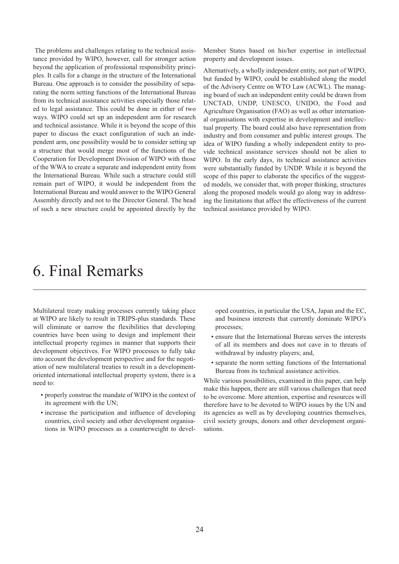<span id="page-25-0"></span>The problems and challenges relating to the technical assistance provided by WIPO, however, call for stronger action beyond the application of professional responsibility principles. It calls for a change in the structure of the International Bureau. One approach is to consider the possibility of separating the norm setting functions of the International Bureau from its technical assistance activities especially those related to legal assistance. This could be done in either of two ways. WIPO could set up an independent arm for research and technical assistance. While it is beyond the scope of this paper to discuss the exact configuration of such an independent arm, one possibility would be to consider setting up a structure that would merge most of the functions of the Cooperation for Development Division of WIPO with those of the WWA to create a separate and independent entity from the International Bureau. While such a structure could still remain part of WIPO, it would be independent from the International Bureau and would answer to the WIPO General Assembly directly and not to the Director General. The head of such a new structure could be appointed directly by the

Member States based on his/her expertise in intellectual property and development issues.

Alternatively, a wholly independent entity, not part of WIPO, but funded by WIPO, could be established along the model of the Advisory Centre on WTO Law (ACWL). The managing board of such an independent entity could be drawn from UNCTAD, UNDP, UNESCO, UNIDO, the Food and Agriculture Organisation (FAO) as well as other international organisations with expertise in development and intellectual property. The board could also have representation from industry and from consumer and public interest groups. The idea of WIPO funding a wholly independent entity to provide technical assistance services should not be alien to WIPO. In the early days, its technical assistance activities were substantially funded by UNDP. While it is beyond the scope of this paper to elaborate the specifics of the suggested models, we consider that, with proper thinking, structures along the proposed models would go along way in addressing the limitations that affect the effectiveness of the current technical assistance provided by WIPO.

## 6. Final Remarks

Multilateral treaty making processes currently taking place at WIPO are likely to result in TRIPS-plus standards. These will eliminate or narrow the flexibilities that developing countries have been using to design and implement their intellectual property regimes in manner that supports their development objectives. For WIPO processes to fully take into account the development perspective and for the negotiation of new multilateral treaties to result in a developmentoriented international intellectual property system, there is a need to:

- properly construe the mandate of WIPO in the context of its agreement with the UN;
- increase the participation and influence of developing countries, civil society and other development organisations in WIPO processes as a counterweight to devel-

oped countries, in particular the USA, Japan and the EC, and business interests that currently dominate WIPO's processes;

- ensure that the International Bureau serves the interests of all its members and does not cave in to threats of withdrawal by industry players; and,
- separate the norm setting functions of the International Bureau from its technical assistance activities.

While various possibilities, examined in this paper, can help make this happen, there are still various challenges that need to be overcome. More attention, expertise and resources will therefore have to be devoted to WIPO issues by the UN and its agencies as well as by developing countries themselves, civil society groups, donors and other development organisations.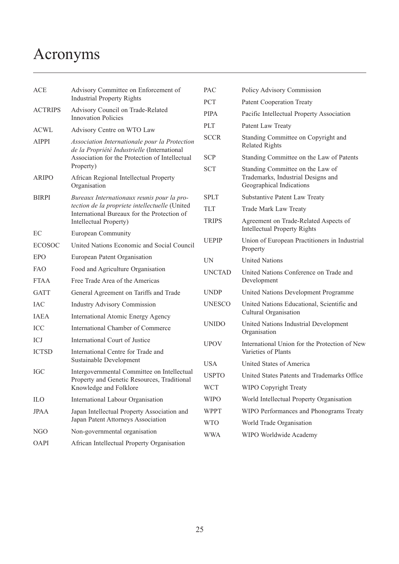# <span id="page-26-0"></span>Acronyms

| <b>ACE</b>     | Advisory Committee on Enforcement of<br><b>Industrial Property Rights</b>                     | PAC<br><b>PCT</b>        |  |
|----------------|-----------------------------------------------------------------------------------------------|--------------------------|--|
| <b>ACTRIPS</b> | Advisory Council on Trade-Related<br><b>Innovation Policies</b>                               | <b>PIPA</b>              |  |
| <b>ACWL</b>    | Advisory Centre on WTO Law                                                                    | <b>PLT</b>               |  |
| AIPPI          | Association Internationale pour la Protection<br>de la Propriété Industrielle (International  | <b>SCC</b>               |  |
|                | Association for the Protection of Intellectual<br>Property)                                   | <b>SCP</b><br><b>SCT</b> |  |
| <b>ARIPO</b>   | African Regional Intellectual Property<br>Organisation                                        |                          |  |
| <b>BIRPI</b>   | Bureaux Internationaux reunis pour la pro-                                                    | <b>SPLT</b>              |  |
|                | tection de la propriete intellectuelle (United<br>International Bureaux for the Protection of | <b>TLT</b>               |  |
|                | Intellectual Property)                                                                        | <b>TRIP</b>              |  |
| EC             | <b>European Community</b>                                                                     | <b>UEP</b>               |  |
| <b>ECOSOC</b>  | United Nations Economic and Social Council                                                    |                          |  |
| <b>EPO</b>     | European Patent Organisation                                                                  | <b>UN</b>                |  |
| <b>FAO</b>     | Food and Agriculture Organisation                                                             | <b>UNC</b>               |  |
| <b>FTAA</b>    | Free Trade Area of the Americas                                                               |                          |  |
| <b>GATT</b>    | General Agreement on Tariffs and Trade                                                        | <b>UND</b>               |  |
| <b>IAC</b>     | <b>Industry Advisory Commission</b>                                                           | <b>UNE</b>               |  |
| <b>IAEA</b>    | <b>International Atomic Energy Agency</b>                                                     |                          |  |
| ICC            | International Chamber of Commerce                                                             | <b>UNII</b>              |  |
| ICJ            | International Court of Justice                                                                | <b>UPO</b>               |  |
| <b>ICTSD</b>   | International Centre for Trade and                                                            |                          |  |
|                | Sustainable Development                                                                       | <b>USA</b>               |  |
| <b>IGC</b>     | Intergovernmental Committee on Intellectual<br>Property and Genetic Resources, Traditional    | USP <sub>1</sub>         |  |
|                | Knowledge and Folklore                                                                        | <b>WCT</b>               |  |
| <b>ILO</b>     | International Labour Organisation                                                             | <b>WIP</b>               |  |
| <b>JPAA</b>    | Japan Intellectual Property Association and<br>Japan Patent Attorneys Association             | <b>WPP</b>               |  |
| NGO            | Non-governmental organisation                                                                 | <b>WTC</b><br>WW/        |  |
| <b>OAPI</b>    | African Intellectual Property Organisation                                                    |                          |  |
|                |                                                                                               |                          |  |

| PAC                  | Policy Advisory Commission                                                                         |
|----------------------|----------------------------------------------------------------------------------------------------|
| PCT                  | <b>Patent Cooperation Treaty</b>                                                                   |
| <b>PIPA</b>          | Pacific Intellectual Property Association                                                          |
| PLT                  | Patent Law Treaty                                                                                  |
| SCCR                 | Standing Committee on Copyright and<br><b>Related Rights</b>                                       |
| SCP                  | Standing Committee on the Law of Patents                                                           |
| $\operatorname{SCT}$ | Standing Committee on the Law of<br>Trademarks, Industrial Designs and<br>Geographical Indications |
| SPLT                 | Substantive Patent Law Treaty                                                                      |
| TLT                  | Trade Mark Law Treaty                                                                              |
| <b>TRIPS</b>         | Agreement on Trade-Related Aspects of<br><b>Intellectual Property Rights</b>                       |
| UEPIP                | Union of European Practitioners in Industrial<br>Property                                          |
| UN                   | <b>United Nations</b>                                                                              |
| <b>UNCTAD</b>        | United Nations Conference on Trade and<br>Development                                              |
| UNDP                 | United Nations Development Programme                                                               |
| UNESCO               | United Nations Educational, Scientific and<br>Cultural Organisation                                |
| UNIDO                | United Nations Industrial Development<br>Organisation                                              |
| <b>UPOV</b>          | International Union for the Protection of New<br>Varieties of Plants                               |
| USA                  | United States of America                                                                           |
| <b>USPTO</b>         | United States Patents and Trademarks Office                                                        |
| <b>WCT</b>           | <b>WIPO Copyright Treaty</b>                                                                       |
| <b>WIPO</b>          | World Intellectual Property Organisation                                                           |
| <b>WPPT</b>          | WIPO Performances and Phonograms Treaty                                                            |
| <b>WTO</b>           | World Trade Organisation                                                                           |
| <b>WWA</b>           | WIPO Worldwide Academy                                                                             |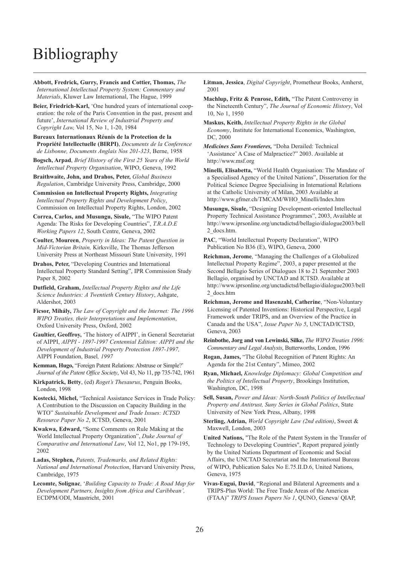# <span id="page-27-0"></span>Bibliography

**Abbott, Fredrick, Gurry, Francis and Cottier, Thomas,** *The International Intellectual Property System: Commentary and Materials*, Kluwer Law International, The Hague, 1999

**Beier, Friedrich-Karl,** 'One hundred years of international cooperation: the role of the Paris Convention in the past, present and future', *International Review of Industrial Property and Copyright Law,* Vol 15, No 1, 1-20, 1984

**Bureaux Internationaux Réunis de la Protection de la Propriété Intellectuelle (BIRPI)**, *Documents de la Conference de Lisbonne, Documents Anglais Nos 201-323*, Berne, 1958

**Bogsch, Arpad**, *Brief History of the First 25 Years of the World Intellectual Property Organisation*, WIPO, Geneva, 1992

**Braithwaite, John, and Drahos, Peter,** *Global Business Regulation*, Cambridge University Press, Cambridge, 2000

**Commission on Intellectual Property Rights,** *Integrating Intellectual Property Rights and Development Policy*, Commission on Intellectual Property Rights, London, 2002

**Correa, Carlos, and Musungu, Sisule,** "The WIPO Patent Agenda: The Risks for Developing Countries", *T.R.A.D.E Working Papers 12*, South Centre, Geneva, 2002

**Coulter, Moureen**, *Property in Ideas: The Patent Question in Mid-Victorian Britain,* Kirksville, The Thomas Jefferson University Press at Northeast Missouri State University, 1991

**Drahos, Peter,** "Developing Countries and International Intellectual Property Standard Setting", IPR Commission Study Paper 8, 2002

**Dutfield, Graham,** *Intellectual Property Rights and the Life Science Industries: A Twentieth Century History*, Ashgate, Aldershot, 2003

**Ficsor, Mihály,** *The Law of Copyright and the Internet: The 1996 WIPO Treaties, their Interpretations and Implementation*, Oxford University Press, Oxford, 2002

**Gaultier, Geoffroy,** 'The history of AIPPI', in General Secretariat of AIPPI, *AIPPI - 1897-1997 Centennial Edition: AIPPI and the Development of Industrial Property Protection 1897-1997,* AIPPI Foundation, Basel*, 1997*

**Kemman, Hugo,** "Foreign Patent Relations: Abstruse or Simple?' *Journal of the Patent Office Society*, Vol 43, No 11, pp 735-742, 1961

**Kirkpatrick, Betty**, (ed) *Roget's Thesaurus*, Penguin Books, London, 1998

**Kostecki, Michel,** "Technical Assistance Services in Trade Policy: A Contribution to the Discussion on Capacity Building in the WTO" *Sustainable Development and Trade Issues: ICTSD Resource Paper No 2*, ICTSD, Geneva, 2001

**Kwakwa, Edward,** "Some Comments on Rule Making at the World Intellectual Property Organization", *Duke Journal of Comparative and International Law*, Vol 12, No1, pp 179-195, 2002

**Ladas, Stephen,** *Patents, Trademarks, and Related Rights: National and International Protection*, Harvard University Press, Cambridge, 1975

**Lecomte, Solignac**, '*Building Capacity to Trade: A Road Map for Development Partners, Insights from Africa and Caribbean',* ECDPM/ODI, Maastricht, 2001

**Litman, Jessica**, *Digital Copyright*, Prometheur Books, Amherst, 2001

**Machlup, Fritz & Penrose, Edith,** "The Patent Controversy in the Nineteenth Century", *The Journal of Economic History*, Vol 10, No 1, 1950

**Maskus, Keith,** *Intellectual Property Rights in the Global Economy*, Institute for International Economics, Washington, DC, 2000

*Medicines Sans Frontieres,* "Doha Derailed: Technical 'Assistance' A Case of Malpractice?" 2003. Available at <http://www.msf.org>

**Minelli, Elisabetta,** "World Health Organisation: The Mandate of a Specialised Agency of the United Nations", Dissertation for the Political Science Degree Specialising in International Relations at the Catholic University of Milan, 2003 Available at [http://www.gfmer.ch/TMCAM/WHO\\_Minelli/Index.htm](http://www.gfmer.ch/TMCAM/WHO_Minelli/Index.htm)

**Musungu, Sisule,** "Designing Development-oriented Intellectual Property Technical Assistance Programmes", 2003, Available at <http://www.iprsonline.org/unctadictsd/bellagio/dialogue2003/bell> 2\_docs.htm.

**PAC**, "World Intellectual Property Declaration", WIPO Publication No B36 (E), WIPO, Geneva, 2000

**Reichman, Jerome**, "Managing the Challenges of a Globalized Intellectual Property Regime", 2003, a paper presented at the Second Bellagio Series of Dialogues 18 to 21 September 2003 Bellagio, organised by UNCTAD and ICTSD. Available at <http://www.iprsonline.org/unctadictsd/bellagio/dialogue2003/bell> 2\_docs.htm

**Reichman, Jerome and Hasenzahl, Catherine**, "Non-Voluntary Licensing of Patented Inventions: Historical Perspective, Legal Framework under TRIPS, and an Overview of the Practice in Canada and the USA", *Issue Paper No 5*, UNCTAD/ICTSD, Geneva, 2003

**Reinbothe, Jorg and von Lewinski, Silke,** *The WIPO Treaties 1996: Commentary and Legal Analysis*, Butterworths, London, 1996

**Ryan, Michael,** *Knowledge Diplomacy: Global Competition and the Politics of Intellectual Property*, Brookings Institution, Washington, DC, 1998

**Sell, Susan,** *Power and Ideas: North-South Politics of Intellectual Property and Antitrust, Suny Series in Global Politics*, State University of New York Press, Albany, 1998

**Sterling, Adrian,** *World Copyright Law (2nd edition)*, Sweet & Maxwell, London, 2003

**United Nations,** "The Role of the Patent System in the Transfer of Technology to Developing Countries", Report prepared jointly by the United Nations Department of Economic and Social Affairs, the UNCTAD Secretariat and the International Bureau of WIPO, Publication Sales No E.75.II.D.6, United Nations, Geneva, 1975

**Vivas-Eugui, David**, "Regional and Bilateral Agreements and a TRIPS-Plus World: The Free Trade Areas of the Americas (FTAA)" *TRIPS Issues Papers No 1*, QUNO, Geneva/ QIAP,

**Rogan, James,** "The Global Recognition of Patent Rights: An Agenda for the 21st Century", Mimeo, 2002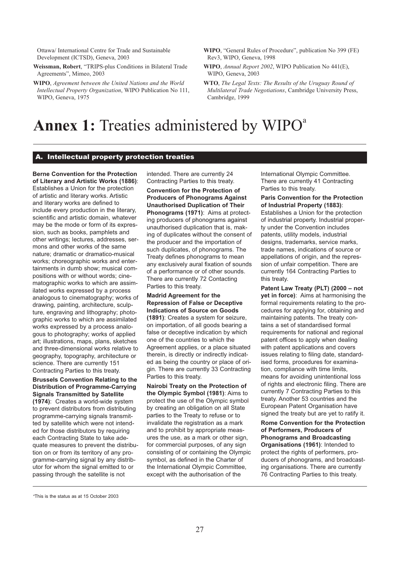Ottawa/ International Centre for Trade and Sustainable Development (ICTSD), Geneva, 2003

**Weissman, Robert**, "TRIPS-plus Conditions in Bilateral Trade Agreements", Mimeo, 2003

**WIPO**, *Agreement between the United Nations and the World Intellectual Property Organization*, WIPO Publication No 111, WIPO, Geneva, 1975

- **WIPO**, "General Rules of Procedure", publication No 399 (FE) Rev3, WIPO, Geneva, 1998
- **WIPO**, *Annual Report 2002*, WIPO Publication No 441(E), WIPO, Geneva, 2003
- **WTO**, *The Legal Texts: The Results of the Uruguay Round of Multilateral Trade Negotiations*, Cambridge University Press, Cambridge, 1999

## **Annex 1:** Treaties administered by WIPO<sup>a</sup>

#### A. Intellectual property protection treaties

**Berne Convention for the Protection of Literary and Artistic Works (1886)**: Establishes a Union for the protection of artistic and literary works. Artistic and literary works are defined to include every production in the literary, scientific and artistic domain, whatever may be the mode or form of its expression, such as books, pamphlets and other writings; lectures, addresses, sermons and other works of the same nature; dramatic or dramatico-musical works; choreographic works and entertainments in dumb show; musical compositions with or without words; cinematographic works to which are assimilated works expressed by a process analogous to cinematography; works of drawing, painting, architecture, sculpture, engraving and lithography; photographic works to which are assimilated works expressed by a process analogous to photography; works of applied art; illustrations, maps, plans, sketches and three-dimensional works relative to geography, topography, architecture or science. There are currently 151 Contracting Parties to this treaty.

#### **Brussels Convention Relating to the Distribution of Programme-Carrying Signals Transmitted by Satellite**

**(1974)**: Creates a world-wide system to prevent distributors from distributing programme-carrying signals transmitted by satellite which were not intended for those distributors by requiring each Contracting State to take adequate measures to prevent the distribution on or from its territory of any programme-carrying signal by any distributor for whom the signal emitted to or passing through the satellite is not

intended. There are currently 24 Contracting Parties to this treaty.

**Convention for the Protection of Producers of Phonograms Against Unauthorised Duplication of Their Phonograms (1971)**: Aims at protecting producers of phonograms against unauthorised duplication that is, making of duplicates without the consent of the producer and the importation of such duplicates, of phonograms. The Treaty defines phonograms to mean any exclusively aural fixation of sounds of a performance or of other sounds. There are currently 72 Contacting Parties to this treaty.

#### **Madrid Agreement for the Repression of False or Deceptive Indications of Source on Goods (1891)**: Creates a system for seizure, on importation, of all goods bearing a false or deceptive indication by which one of the countries to which the Agreement applies, or a place situated therein, is directly or indirectly indicated as being the country or place of origin. There are currently 33 Contracting Parties to this treaty.

**Nairobi Treaty on the Protection of the Olympic Symbol (1981)**: Aims to protect the use of the Olympic symbol by creating an obligation on all State parties to the Treaty to refuse or to invalidate the registration as a mark and to prohibit by appropriate measures the use, as a mark or other sign, for commercial purposes, of any sign consisting of or containing the Olympic symbol, as defined in the Charter of the International Olympic Committee, except with the authorisation of the

International Olympic Committee. There are currently 41 Contracting Parties to this treaty.

#### **Paris Convention for the Protection of Industrial Property (1883)**:

Establishes a Union for the protection of industrial property. Industrial property under the Convention includes patents, utility models, industrial designs, trademarks, service marks, trade names, indications of source or appellations of origin, and the repression of unfair competition. There are currently 164 Contracting Parties to this treaty.

**Patent Law Treaty (PLT) (2000 – not yet in force)**: Aims at harmonising the formal requirements relating to the procedures for applying for, obtaining and maintaining patents. The treaty contains a set of standardised formal requirements for national and regional patent offices to apply when dealing with patent applications and covers issues relating to filing date, standardised forms, procedures for examination, compliance with time limits, means for avoiding unintentional loss of rights and electronic filing. There are currently 7 Contracting Parties to this treaty. Another 53 countries and the European Patent Organisation have signed the treaty but are yet to ratify it.

**Rome Convention for the Protection of Performers, Producers of Phonograms and Broadcasting Organisations (1961)**: Intended to protect the rights of performers, producers of phonograms, and broadcasting organisations. There are currently 76 Contracting Parties to this treaty.

a This is the status as at 15 October 2003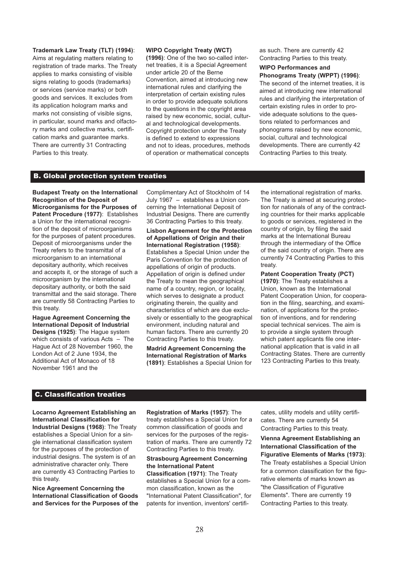**Trademark Law Treaty (TLT) (1994)**: Aims at regulating matters relating to registration of trade marks. The Treaty applies to marks consisting of visible signs relating to goods (trademarks) or services (service marks) or both goods and services. It excludes from its application hologram marks and marks not consisting of visible signs, in particular, sound marks and olfactory marks and collective marks, certification marks and guarantee marks. There are currently 31 Contracting Parties to this treaty.

#### **WIPO Copyright Treaty (WCT)**

**(1996)**: One of the two so-called internet treaties, it is a Special Agreement under article 20 of the Berne Convention, aimed at introducing new international rules and clarifying the interpretation of certain existing rules in order to provide adequate solutions to the questions in the copyright area raised by new economic, social, cultural and technological developments. Copyright protection under the Treaty is defined to extend to expressions and not to ideas, procedures, methods of operation or mathematical concepts

as such. There are currently 42 Contracting Parties to this treaty.

## **WIPO Performances and**

**Phonograms Treaty (WPPT) (1996)**: The second of the internet treaties, it is aimed at introducing new international rules and clarifying the interpretation of certain existing rules in order to provide adequate solutions to the questions related to performances and phonograms raised by new economic, social, cultural and technological developments. There are currently 42 Contracting Parties to this treaty.

#### B. Global protection system treaties

**Budapest Treaty on the International Recognition of the Deposit of Microorganisms for the Purposes of Patent Procedure (1977)**: Establishes a Union for the international recognition of the deposit of microorganisms for the purposes of patent procedures. Deposit of microorganisms under the Treaty refers to the transmittal of a microorganism to an international depositary authority, which receives and accepts it, or the storage of such a microorganism by the international depositary authority, or both the said transmittal and the said storage. There are currently 58 Contracting Parties to this treaty.

**Hague Agreement Concerning the International Deposit of Industrial Designs (1925)**: The Hague system which consists of various Acts – The Hague Act of 28 November 1960, the London Act of 2 June 1934, the Additional Act of Monaco of 18 November 1961 and the

Complimentary Act of Stockholm of 14 July 1967 – establishes a Union concerning the International Deposit of Industrial Designs. There are currently 36 Contracting Parties to this treaty.

**Lisbon Agreement for the Protection of Appellations of Origin and their International Registration (1958)**: Establishes a Special Union under the Paris Convention for the protection of appellations of origin of products. Appellation of origin is defined under the Treaty to mean the geographical name of a country, region, or locality, which serves to designate a product originating therein, the quality and characteristics of which are due exclusively or essentially to the geographical environment, including natural and human factors. There are currently 20 Contracting Parties to this treaty.

**Madrid Agreement Concerning the International Registration of Marks (1891)**: Establishes a Special Union for the international registration of marks. The Treaty is aimed at securing protection for nationals of any of the contracting countries for their marks applicable to goods or services, registered in the country of origin, by filing the said marks at the International Bureau through the intermediary of the Office of the said country of origin. There are currently 74 Contracting Parties to this treaty.

#### **Patent Cooperation Treaty (PCT)**

**(1970)**: The Treaty establishes a Union, known as the International Patent Cooperation Union, for cooperation in the filing, searching, and examination, of applications for the protection of inventions, and for rendering special technical services. The aim is to provide a single system through which patent applicants file one international application that is valid in all Contracting States. There are currently 123 Contracting Parties to this treaty.

#### C. Classification treaties

**Locarno Agreement Establishing an International Classification for Industrial Designs (1968)**: The Treaty establishes a Special Union for a single international classification system for the purposes of the protection of industrial designs. The system is of an administrative character only. There are currently 43 Contracting Parties to this treaty.

**Nice Agreement Concerning the International Classification of Goods and Services for the Purposes of the** **Registration of Marks (1957)**: The treaty establishes a Special Union for a common classification of goods and services for the purposes of the registration of marks. There are currently 72 Contracting Parties to this treaty.

**Strasbourg Agreement Concerning the International Patent Classification (1971)**: The Treaty establishes a Special Union for a common classification, known as the "International Patent Classification", for patents for invention, inventors' certifi-

cates, utility models and utility certificates. There are currently 54 Contracting Parties to this treaty.

**Vienna Agreement Establishing an International Classification of the Figurative Elements of Marks (1973)**: The Treaty establishes a Special Union for a common classification for the figurative elements of marks known as "the Classification of Figurative Elements". There are currently 19 Contracting Parties to this treaty.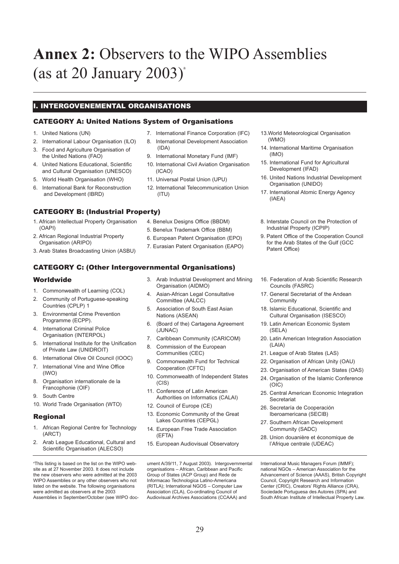# <span id="page-30-0"></span>**Annex 2:** Observers to the WIPO Assemblies (as at 20 January  $2003$ )<sup>a</sup>

### I. INTERGOVENEMENTAL ORGANISATIONS

#### CATEGORY A: United Nations System of Organisations

- 1. United Nations (UN)
- 2. International Labour Organisation (ILO)
- 3. Food and Agriculture Organisation of the United Nations (FAO)
- 4. United Nations Educational, Scientific and Cultural Organisation (UNESCO)
- 5. World Health Organisation (WHO)
- 6. International Bank for Reconstruction and Development (IBRD)

#### CATEGORY B: (Industrial Property)

- 1. African Intellectual Property Organisation (OAPI)
- 2. African Regional Industrial Property Organisation (ARIPO)
- 3. Arab States Broadcasting Union (ASBU)

#### CATEGORY C: (Other Intergovernmental Organisations)

#### Worldwide

- 1. Commonwealth of Learning (COL)
- 2. Community of Portuguese-speaking Countries (CPLP) 1
- 3. Environmental Crime Prevention Programme (ECPP).
- 4. International Criminal Police Organisation (INTERPOL)
- 5. International Institute for the Unification of Private Law (UNIDROIT)
- 6. International Olive Oil Council (IOOC)
- 7. International Vine and Wine Office (IWO)
- 8. Organisation internationale de la Francophonie (OIF)
- 9. South Centre
- 10. World Trade Organisation (WTO)

#### Regional

- 1. African Regional Centre for Technology (ARCT)
- 2. Arab League Educational, Cultural and Scientific Organisation (ALECSO)

a This listing is based on the list on the WIPO website as at 27 November 2003. It does not include the new observers who were admitted at the 2003 WIPO Assemblies or any other observers who not listed on the website. The following organisations were admitted as observers at the 2003 Assemblies in September/October (see WIPO doc-

- 7. International Finance Corporation (IFC)
- 8. International Development Association (IDA)
- 9. International Monetary Fund (IMF)
- 10. International Civil Aviation Organisation (ICAO)
- 11. Universal Postal Union (UPU)
- 12. International Telecommunication Union (ITU)
- 4. Benelux Designs Office (BBDM)
- 5. Benelux Trademark Office (BBM)
- 6. European Patent Organisation (EPO)
- 7. Eurasian Patent Organisation (EAPO)
- 3. Arab Industrial Development and Mining Organisation (AIDMO)
- 4. Asian-African Legal Consultative Committee (AALCC)
- 5. Association of South East Asian Nations (ASEAN)
- 6. (Board of the) Cartagena Agreement (JUNAC)
- 7. Caribbean Community (CARICOM)
- 8. Commission of the European Communities (CEC)
- 9. Commonwealth Fund for Technical Cooperation (CFTC)
- 10. Commonwealth of Independent States (CIS)
- 11. Conference of Latin American Authorities on Informatics (CALAI)
- 12. Council of Europe (CE)
- 13. Economic Community of the Great Lakes Countries (CEPGL)
- 14. European Free Trade Association (EFTA)
- 15. European Audiovisual Observatory

ument A/39/11, 7 August 2003). Intergovernmental organisations – African, Caribbean and Pacific Group of States (ACP Group) and Rede de Informacao Technologica Latino-Americana (RITLA); International NGOS – Computer Law Association (CLA), Co-ordinating Council of Audiovisual Archives Associations (CCAAA) and

- 13.World Meteorological Organisation (WMO)
- 14. International Maritime Organisation (IMO)
- 15. International Fund for Agricultural Development (IFAD)
- 16. United Nations Industrial Development Organisation (UNIDO)
- 17. International Atomic Energy Agency (IAEA)
- 8. Interstate Council on the Protection of Industrial Property (ICPIP)
- 9. Patent Office of the Cooperation Council for the Arab States of the Gulf (GCC Patent Office)
- 16. Federation of Arab Scientific Research Councils (FASRC)
- 17. General Secretariat of the Andean **Community**
- 18. Islamic Educational, Scientific and Cultural Organisation (ISESCO)
- 19. Latin American Economic System (SELA)
- 20. Latin American Integration Association (LAIA)
- 21. League of Arab States (LAS)
- 22. Organisation of African Unity (OAU)
- 23. Organisation of American States (OAS)
- 24. Organisation of the Islamic Conference (OIC)
- 25. Central American Economic Integration **Secretariat**
- 26. Secretaría de Cooperación Iberoamericana (SECIB)
- 27. Southern African Development Community (SADC)
- 28. Union douanière et économique de l'Afrique centrale (UDEAC)

International Music Managers Forum (IMMF); national NGOs – American Association for the Advancement of Science (AAAS), British Copyright Council, Copyright Research and Information Center (CRIC), Creators' Rights Alliance (CRA), Sociedade Portuguesa des Autores (SPA) and South African Institute of Intellectual Property Law.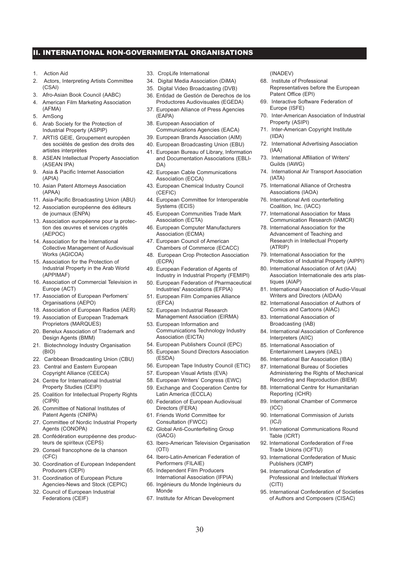#### II. INTERNATIONAL NON-GOVERNMENTAL ORGANISATIONS

- 1. Action Aid
- 2. Actors, Interpreting Artists Committee (CSAI)
- 3. Afro-Asian Book Council (AABC)
- 4. American Film Marketing Association (AFMA)
- 5. AmSong
- 6. Arab Society for the Protection of Industrial Property (ASPIP)
- 7. ARTIS GEIE, Groupement européen des sociétés de gestion des droits des artistes interprètes
- 8. ASEAN Intellectual Property Association (ASEAN IPA)
- 9. Asia & Pacific Internet Association (APIA)
- 10. Asian Patent Attorneys Association (APAA)
- 11. Asia-Pacific Broadcasting Union (ABU)
- 12. Association européenne des éditeurs de journaux (ENPA)
- 13. Association européenne pour la protection des œuvres et services cryptés (AEPOC)
- 14. Association for the International Collective Management of Audiovisual Works (AGICOA)
- 15. Association for the Protection of Industrial Property in the Arab World (APPIMAF)
- 16. Association of Commercial Television in Europe (ACT)
- 17. Association of European Perfomers' Organisations (AEPO)
- 18. Association of European Radios (AER)
- 19. Association of European Trademark Proprietors (MARQUES)
- 20. Benelux Association of Trademark and Design Agents (BMM)
- 21. Biotechnology Industry Organisation (BIO)
- 22. Caribbean Broadcasting Union (CBU)
- 23. Central and Eastern European Copyright Alliance (CEECA)
- 24. Centre for International Industrial Property Studies (CEIPI)
- 25. Coalition for Intellectual Property Rights (CIPR)
- 26. Committee of National Institutes of Patent Agents (CNIPA)
- 27. Committee of Nordic Industrial Property Agents (CONOPA)
- 28. Confédération européenne des producteurs de spiriteux (CEPS)
- 29. Conseil francophone de la chanson (CFC)
- 30. Coordination of European Independent Producers (CEPI)
- 31. Coordination of European Picture Agencies-News and Stock (CEPIC)
- 32. Council of European Industrial Federations (CEIF)
- 33. CropLife International
- 34. Digital Media Association (DiMA)
- 35. Digital Video Broadcasting (DVB)
- 36. Entidad de Gestión de Derechos de los Productores Audiovisuales (EGEDA)
- 37. European Alliance of Press Agencies (EAPA)
- 38. European Association of Communications Agencies (EACA)
- 39. European Brands Association (AIM)
- 40. European Broadcasting Union (EBU)
- 41. European Bureau of Library, Information and Documentation Associations (EBLI-DA)
- 42. European Cable Communications Association (ECCA)
- 43. European Chemical Industry Council (CEFIC)
- 44. European Committee for Interoperable Systems (ECIS)
- 45. European Communities Trade Mark Association (ECTA)
- 46. European Computer Manufacturers Association (ECMA)
- 47. European Council of American Chambers of Commerce (ECACC)
- 48. European Crop Protection Association (ECPA)
- 49. European Federation of Agents of Industry in Industrial Property (FEMIPI)
- 50. European Federation of Pharmaceutical Industries' Associations (EFPIA)
- 51. European Film Companies Alliance (EFCA)
- 52. European Industrial Research Management Association (EIRMA)
- 53. European Information and Communications Technology Industry Association (EICTA)
- 54. European Publishers Council (EPC)
- 55. European Sound Directors Association (ESDA)
- 56. European Tape Industry Council (ETIC)
- 57. European Visual Artists (EVA)
- 58. European Writers' Congress (EWC)
- 59. Exchange and Cooperation Centre for Latin America (ECCLA)
- 60. Federation of European Audiovisual Directors (FERA)
- 61. Friends World Committee for Consultation (FWCC)
- 62. Global Anti-Counterfeiting Group (GACG)
- 63. Ibero-American Television Organisation (OTI)
- 64. Ibero-Latin-American Federation of Performers (FILAIE)
- 65. Independent Film Producers International Association (IFPIA)
- 66. Ingénieurs du Monde Ingénieurs du Monde
- 67. Institute for African Development
- (INADEV)
- 68. Institute of Professional Representatives before the European Patent Office (EPI)
- 69. Interactive Software Federation of Europe (ISFE)
- 70. Inter-American Association of Industrial Property (ASIPI)
- 71. Inter-American Copyright Institute (IIDA)
- 72. International Advertising Association (IAA)
- 73. International Affiliation of Writers' Guilds (IAWG)
- 74. International Air Transport Association (IATA)
- 75. International Alliance of Orchestra Associations (IAOA)
- 76. International Anti counterfeiting Coalition, Inc. (IACC)
- 77. International Association for Mass Communication Research (IAMCR)
- 78. International Association for the Advancement of Teaching and Research in Intellectual Property (ATRIP)
- 79. International Association for the Protection of Industrial Property (AIPPI)
- 80. International Association of Art (IAA) Association Internationale des arts plastiques (AIAP)
- 81. International Association of Audio-Visual Writers and Directors (AIDAA)
- 82. International Association of Authors of Comics and Cartoons (AIAC)
- 83. International Association of Broadcasting (IAB)
- 84. International Association of Conference Interpreters (AIIC)
- 85. International Association of Entertainment Lawyers (IAEL)
- 86. International Bar Association (IBA)
- 87. International Bureau of Societies Administering the Rights of Mechanical Recording and Reproduction (BIEM)
- 88. International Centre for Humanitarian Reporting (ICHR)
- 89. International Chamber of Commerce (ICC)
- 90. International Commission of Jurists (ICJ)
- 91. International Communications Round Table (ICRT)
- 92. International Confederation of Free Trade Unions (ICFTU)
- 93. International Confederation of Music Publishers (ICMP)
- 94. International Confederation of Professional and Intellectual Workers (CITI)
- 95. International Confederation of Societies of Authors and Composers (CISAC)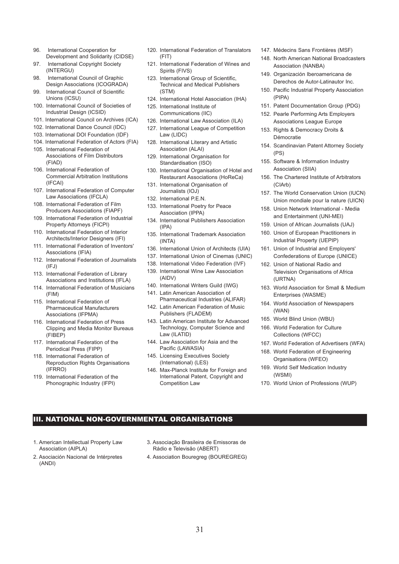- 96. International Cooperation for Development and Solidarity (CIDSE)
- 97. International Copyright Society (INTERGU)
- 98. International Council of Graphic Design Associations (ICOGRADA)
- 99. International Council of Scientific Unions (ICSU)
- 100. International Council of Societies of Industrial Design (ICSID)
- 101. International Council on Archives (ICA)
- 102. International Dance Council (IDC)
- 103. International DOI Foundation (IDF)
- 104. International Federation of Actors (FIA)
- 105. International Federation of Associations of Film Distributors (FIAD)
- 106. International Federation of Commercial Arbitration Institutions (IFCAI)
- 107. International Federation of Computer Law Associations (IFCLA)
- 108. International Federation of Film Producers Associations (FIAPF)
- 109. International Federation of Industrial Property Attorneys (FICPI)
- 110. International Federation of Interior Architects/Interior Designers (IFI)
- 111. International Federation of Inventors' Associations (IFIA)
- 112. International Federation of Journalists  $(IFJ)$
- 113. International Federation of Library Associations and Institutions (IFLA)
- 114. International Federation of Musicians (FIM)
- 115. International Federation of Pharmaceutical Manufacturers Associations (IFPMA)
- 116. International Federation of Press Clipping and Media Monitor Bureaus (FIBEP)
- 117. International Federation of the Periodical Press (FIPP)
- 118. International Federation of Reproduction Rights Organisations (IFRRO)
- 119. International Federation of the Phonographic Industry (IFPI)
- 120. International Federation of Translators (FIT)
- 121. International Federation of Wines and Spirits (FIVS)
- 123. International Group of Scientific, Technical and Medical Publishers (STM)
- 124. International Hotel Association (IHA)
- 125. International Institute of Communications (IIC)
- 126. International Law Association (ILA)
- 127. International League of Competition Law (LIDC)
- 128. International Literary and Artistic Association (ALAI)
- 129. International Organisation for Standardisation (ISO)
- 130. International Organisation of Hotel and Restaurant Associations (HoReCa)
- 131. International Organisation of Journalists (IOJ)
- 132. International P.E.N.
- 133. International Poetry for Peace Association (IPPA)
- 134. International Publishers Association (IPA)
- 135. International Trademark Association (INTA)
- 136. International Union of Architects (UIA)
- 137. International Union of Cinemas (UNIC)
- 138. International Video Federation (IVF)
- 139. International Wine Law Association (AIDV)
- 140. International Writers Guild (IWG)
- 141. Latin American Association of Pharmaceutical Industries (ALIFAR)
- 142. Latin American Federation of Music Publishers (FLADEM)
- 143. Latin American Institute for Advanced Technology, Computer Science and Law (ILATID)
- 144. Law Association for Asia and the Pacific (LAWASIA)
- 145. Licensing Executives Society (International) (LES)
- 146. Max-Planck Institute for Foreign and International Patent, Copyright and Competition Law
- 147. Médecins Sans Frontières (MSF)
- 148. North American National Broadcasters Association (NANBA)
- 149. Organización Iberoamericana de Derechos de Autor-Latinautor Inc.
- 150. Pacific Industrial Property Association (PIPA)
- 151. Patent Documentation Group (PDG)
- 152. Pearle Performing Arts Employers Associations League Europe
- 153. Rights & Democracy Droits & Démocratie
- 154. Scandinavian Patent Attorney Society (PS)
- 155. Software & Information Industry Association (SIIA)
- 156. The Chartered Institute of Arbitrators (CIArb)
- 157. The World Conservation Union (IUCN) Union mondiale pour la nature (UICN)
- 158. Union Network International Media and Entertainment (UNI-MEI)
- 159. Union of African Journalists (UAJ)
- 160. Union of European Practitioners in Industrial Property (UEPIP)
- 161. Union of Industrial and Employers' Confederations of Europe (UNICE)
- 162. Union of National Radio and Television Organisations of Africa (URTNA)
- 163. World Association for Small & Medium Enterprises (WASME)
- 164. World Association of Newspapers (WAN)
- 165. World Blind Union (WBU)
- 166. World Federation for Culture Collections (WFCC)
- 167. World Federation of Advertisers (WFA)
- 168. World Federation of Engineering Organisations (WFEO)
- 169. World Self Medication Industry (WSMI)
- 170. World Union of Professions (WUP)

#### III. NATIONAL NON-GOVERNMENTAL ORGANISATIONS

- 1. American Intellectual Property Law Association (AIPLA)
- 2. Asociación Nacional de Intérpretes (ANDI)
- 3. Associação Brasileira de Emissoras de Rádio e Televisão (ABERT)
- 4. Association Bouregreg (BOUREGREG)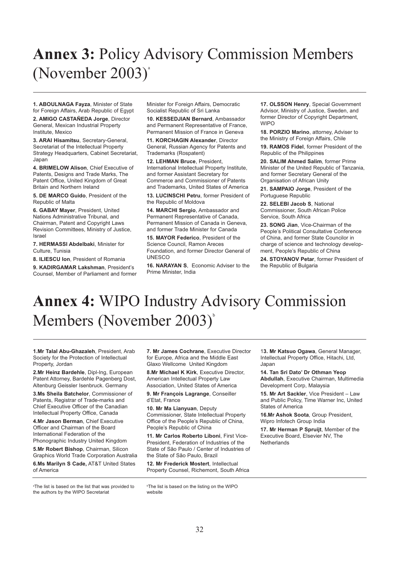# <span id="page-33-0"></span>**Annex 3:** Policy Advisory Commission Members (November  $2003$ )<sup>a</sup>

**1. ABOULNAGA Fayza**, Minister of State for Foreign Affairs, Arab Republic of Egypt

**2. AMIGO CASTAÑEDA Jorge**, Director General, Mexican Industrial Property Institute, Mexico

**3. ARAI Hisamitsu**, Secretary-General, Secretariat of the Intellectual Property Strategy Headquarters, Cabinet Secretariat, Japan

**4. BRIMELOW Alison**, Chief Executive of Patents, Designs and Trade Marks, The Patent Office, United Kingdom of Great Britain and Northern Ireland

**5. DE MARCO Guido**, President of the Republic of Malta

**6. GABAY Mayer**, President, United Nations Administrative Tribunal, and Chairman, Patent and Copyright Laws Revision Committees, Ministry of Justice, Israel

**7. HERMASSI Abdelbaki**, Minister for Culture, Tunisia

**8. ILIESCU Ion**, President of Romania

**9. KADIRGAMAR Lakshman**, President's Counsel, Member of Parliament and former Minister for Foreign Affairs, Democratic Socialist Republic of Sri Lanka

**10. KESSEDJIAN Bernard, Ambassador** and Permanent Representative of France, Permanent Mission of France in Geneva

**11. KORCHAGIN Alexander**, Director General, Russian Agency for Patents and Trademarks (Rospatent)

**12. LEHMAN Bruce**, President, International Intellectual Property Institute, and former Assistant Secretary for Commerce and Commissioner of Patents and Trademarks, United States of America

**13. LUCINSCHI Petru**, former President of the Republic of Moldova

**14. MARCHI Sergio**, Ambassador and Permanent Representative of Canada, Permanent Mission of Canada in Geneva, and former Trade Minister for Canada

**15. MAYOR Federico**, President of the Science Council, Ramon Areces Foundation, and former Director General of UNESCO

**16. NARAYAN S**, Economic Adviser to the Prime Minister, India

**17. OLSSON Henry**, Special Government Advisor, Ministry of Justice, Sweden, and former Director of Copyright Department, **WIPO** 

**18. PORZIO Marino**, attorney, Adviser to the Ministry of Foreign Affairs, Chile

**19. RAMOS Fidel**, former President of the Republic of the Philippines

**20. SALIM Ahmed Salim**, former Prime Minister of the United Republic of Tanzania, and former Secretary General of the Organisation of African Unity

**21. SAMPAIO Jorge**, President of the Portuguese Republic

**22. SELEBI Jacob S**, National Commissioner, South African Police Service, South Africa

**23. SONG Jian**, Vice-Chairman of the People's Political Consultative Conference of China, and former State Councilor in charge of science and technology development, People's Republic of China

**24. STOYANOV Petar**, former President of the Republic of Bulgaria

# **Annex 4:** WIPO Industry Advisory Commission Members (November  $2003$ ) $^{\circ}$

**1.Mr Talal Abu-Ghazaleh**, President, Arab Society for the Protection of Intellectual Property, Jordan

**2.Mr Heinz Bardehle**, Dipl-Ing, European Patent Attorney, Bardehle Pagenberg Dost, Altenburg Geissler Isenbruck. Germany

**3.Ms Sheila Batchelor**, Commissioner of Patents, Registrar of Trade-marks and Chief Executive Officer of the Canadian Intellectual Property Office, Canada

**4.Mr Jason Berman**, Chief Executive Officer and Chairman of the Board International Federation of the Phonographic Industry United Kingdom

**5.Mr Robert Bishop**, Chairman, Silicon Graphics World Trade Corporation Australia

**6.Ms Marilyn S Cade,** AT&T United States of America

a The list is based on the list that was provided to the authors by the WIPO Secretariat

**7. Mr James Cochrane**, Executive Director for Europe, Africa and the Middle East Glaxo Wellcome United Kingdom

**8.Mr Michael K Kirk**, Executive Director, American Intellectual Property Law Association, United States of America

**9. Mr François Lagrange**, Conseiller d'Etat, France

**10. Mr Ma Lianyuan**, Deputy Commissioner, State Intellectual Property Office of the People's Republic of China, People's Republic of China

**11. Mr Carlos Roberto Liboni**, First Vice-President, Federation of Industries of the State of São Paulo / Center of Industries of the State of São Paulo, Brazil

**12. Mr Frederick Mostert**, Intellectual Property Counsel, Richemont, South Africa

b The list is based on the listing on the WIPO website

1**3. Mr Katsuo Ogawa**, General Manager, Intellectual Property Office, Hitachi, Ltd, Japan

**14. Tan Sri Dato' Dr Othman Yeop Abdullah**, Executive Chairman, Multimedia Development Corp, Malaysia

**15. Mr Art Sackler**, Vice President – Law and Public Policy, Time Warner Inc, United States of America

**16.Mr Ashok Soota**, Group President, Wipro Infotech Group India

**17. Mr Herman P Spruijt**, Member of the Executive Board, Elsevier NV, The **Netherlands**